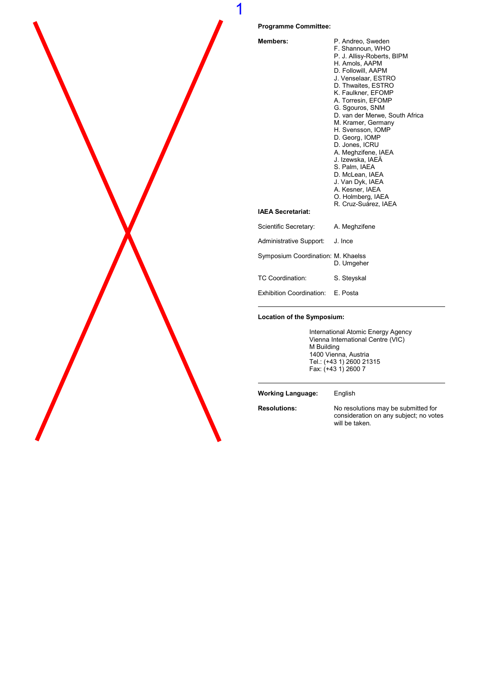

**Members** 

1

| <b>Members:</b>                    | P. Andreo, Sweden              |
|------------------------------------|--------------------------------|
|                                    | F. Shannoun, WHO               |
|                                    | P. J. Allisy-Roberts, BIPM     |
|                                    | H. Amols, AAPM                 |
|                                    | D. Followill, AAPM             |
|                                    | J. Venselaar, ESTRO            |
|                                    | D. Thwaites, ESTRO             |
|                                    | K. Faulkner, EFOMP             |
|                                    | A. Torresin, EFOMP             |
|                                    | G. Sgouros, SNM                |
|                                    | D. van der Merwe, South Africa |
|                                    | M. Kramer, Germany             |
|                                    | H. Svensson, IOMP              |
|                                    | D. Georg, IOMP                 |
|                                    | D. Jones, ICRU                 |
|                                    | A. Meghzifene, IAEA            |
|                                    | J. Izewska, IAEA               |
|                                    | S. Palm, IAEA                  |
|                                    | D. McLean, IAEA                |
|                                    | J. Van Dyk, IAEA               |
|                                    | A. Kesner, IAEA                |
|                                    | O. Holmberg, IAEA              |
|                                    | R. Cruz-Suárez, IAEA           |
| <b>IAEA Secretariat:</b>           |                                |
| Scientific Secretary:              | A. Meghzifene                  |
| Administrative Support: J. Ince    |                                |
| Symposium Coordination: M. Khaelss | D. Umgeher                     |
| TC Coordination:                   | S. Steyskal                    |
| <b>Exhibition Coordination:</b>    | E. Posta                       |

#### Location of the Symposium:

International Atomic Energy Agency Vienna International Centre (VIC) **M** Building 1400 Vienna, Austria Tel.: (+43 1) 2600 21315 Fax: (+43 1) 2600 7

Working Language: English

Resolutions: No resolutions may be submitted for consideration on any subject; no votes will be taken.

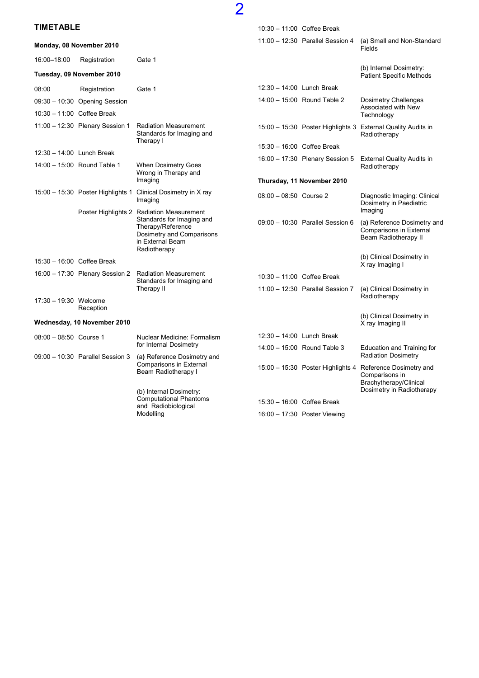### TIMETABLE

| <b>TIMETABLE</b>           |                                     |                                                                                                                 |                            | 10:30 - 11:00 Coffee Break          |                                                                                |
|----------------------------|-------------------------------------|-----------------------------------------------------------------------------------------------------------------|----------------------------|-------------------------------------|--------------------------------------------------------------------------------|
|                            | Monday, 08 November 2010            |                                                                                                                 |                            | 11:00 - 12:30 Parallel Session 4    | (a) Small and Non-Standard<br>Fields                                           |
| 16:00-18:00                | Registration                        | Gate 1                                                                                                          |                            |                                     |                                                                                |
|                            | Tuesday, 09 November 2010           |                                                                                                                 |                            |                                     | (b) Internal Dosimetry:<br><b>Patient Specific Methods</b>                     |
| 08:00                      | Registration                        | Gate 1                                                                                                          | 12:30 - 14:00 Lunch Break  |                                     |                                                                                |
|                            | 09:30 - 10:30 Opening Session       |                                                                                                                 |                            | 14:00 - 15:00 Round Table 2         | Dosimetry Challenges                                                           |
| 10:30 - 11:00 Coffee Break |                                     |                                                                                                                 |                            |                                     | Associated with New<br>Technology                                              |
|                            | 11:00 - 12:30 Plenary Session 1     | <b>Radiation Measurement</b><br>Standards for Imaging and<br>Therapy I                                          |                            |                                     | 15:00 - 15:30 Poster Highlights 3 External Quality Audits in<br>Radiotherapy   |
| 12:30 - 14:00 Lunch Break  |                                     |                                                                                                                 |                            | 15:30 - 16:00 Coffee Break          |                                                                                |
|                            | 14:00 - 15:00 Round Table 1         | When Dosimetry Goes<br>Wrong in Therapy and                                                                     |                            | 16:00 - 17:30 Plenary Session 5     | <b>External Quality Audits in</b><br>Radiotherapy                              |
|                            |                                     | Imaging                                                                                                         | Thursday, 11 November 2010 |                                     |                                                                                |
|                            | $15:00 - 15:30$ Poster Highlights 1 | Clinical Dosimetry in X ray<br>Imaging                                                                          | $08:00 - 08:50$ Course 2   |                                     | Diagnostic Imaging: Clinical<br>Dosimetry in Paediatric                        |
|                            |                                     | Poster Highlights 2 Radiation Measurement                                                                       |                            |                                     | Imaging                                                                        |
|                            |                                     | Standards for Imaging and<br>Therapy/Reference<br>Dosimetry and Comparisons<br>in External Beam<br>Radiotherapy |                            | 09:00 - 10:30 Parallel Session 6    | (a) Reference Dosimetry and<br>Comparisons in External<br>Beam Radiotherapy II |
| 15:30 - 16:00 Coffee Break |                                     |                                                                                                                 |                            |                                     | (b) Clinical Dosimetry in<br>X ray Imaging I                                   |
|                            | 16:00 - 17:30 Plenary Session 2     | <b>Radiation Measurement</b>                                                                                    |                            | 10:30 - 11:00 Coffee Break          |                                                                                |
|                            |                                     | Standards for Imaging and<br>Therapy II                                                                         |                            | 11:00 - 12:30 Parallel Session 7    | (a) Clinical Dosimetry in                                                      |
| 17:30 - 19:30 Welcome      | Reception                           |                                                                                                                 |                            |                                     | Radiotherapy                                                                   |
|                            | Wednesday, 10 November 2010         |                                                                                                                 |                            |                                     | (b) Clinical Dosimetry in<br>X ray Imaging II                                  |
| $08:00 - 08:50$ Course 1   |                                     | Nuclear Medicine: Formalism                                                                                     | 12:30 - 14:00 Lunch Break  |                                     |                                                                                |
|                            |                                     | for Internal Dosimetry                                                                                          |                            | $14:00 - 15:00$ Round Table 3       | Education and Training for<br><b>Radiation Dosimetry</b>                       |
|                            | 09:00 - 10:30 Parallel Session 3    | (a) Reference Dosimetry and<br>Comparisons in External<br>Beam Radiotherapy I                                   |                            | $15:00 - 15:30$ Poster Highlights 4 | Reference Dosimetry and<br>Comparisons in<br>Brachytherapy/Clinical            |
|                            |                                     | (b) Internal Dosimetry:<br><b>Computational Phantoms</b><br>and Radiobiological                                 |                            |                                     | Dosimetry in Radiotherapy                                                      |
|                            |                                     |                                                                                                                 |                            | 15:30 - 16:00 Coffee Break          |                                                                                |
|                            |                                     | Modelling                                                                                                       |                            | 16:00 - 17:30 Poster Viewing        |                                                                                |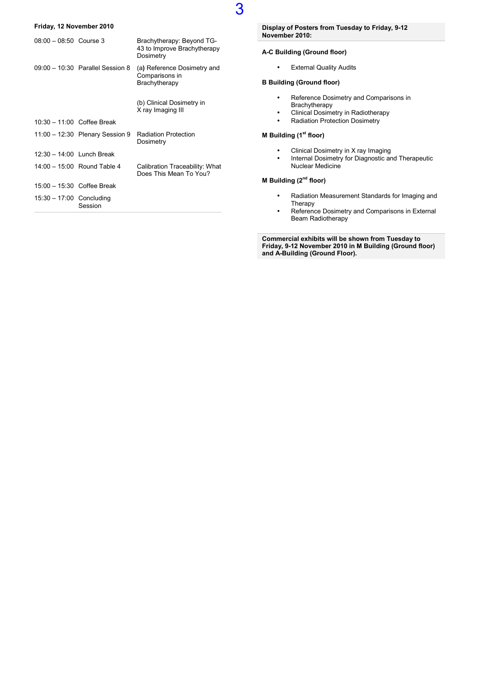#### Friday, 12 November 2010

| $08:00 - 08:50$ Course 3     |                                    | Brachytherapy: Beyond TG-<br>43 to Improve Brachytherapy<br>Dosimetry |
|------------------------------|------------------------------------|-----------------------------------------------------------------------|
|                              | $09:00 - 10:30$ Parallel Session 8 | (a) Reference Dosimetry and<br>Comparisons in<br>Brachytherapy        |
|                              |                                    | (b) Clinical Dosimetry in<br>X ray Imaging III                        |
| $10:30 - 11:00$ Coffee Break |                                    |                                                                       |
|                              | $11:00 - 12:30$ Plenary Session 9  | <b>Radiation Protection</b><br>Dosimetry                              |
| $12:30 - 14:00$ Lunch Break  |                                    |                                                                       |
|                              | 14:00 - 15:00 Round Table 4        | Calibration Traceability: What<br>Does This Mean To You?              |
| $15:00 - 15:30$ Coffee Break |                                    |                                                                       |
| $15:30 - 17:00$ Concluding   | Session                            |                                                                       |

Display of Posters from Tuesday to Friday, 9-12 November 2010:

#### A-C Building (Ground floor)

3

• External Quality Audits

#### B Building (Ground floor)

- Reference Dosimetry and Comparisons in Brachytherapy
- Clinical Dosimetry in Radiotherapy
- Radiation Protection Dosimetry

#### **M Building (1st floor)**

- Clinical Dosimetry in X ray Imaging
- Internal Dosimetry for Diagnostic and Therapeutic Nuclear Medicine

#### M Building (2<sup>nd</sup> floor)

- Radiation Measurement Standards for Imaging and Therapy
- Reference Dosimetry and Comparisons in External Beam Radiotherapy

Commercial exhibits will be shown from Tuesday to Friday, 9-12 November 2010 in M Building (Ground floor) and A-Building (Ground Floor).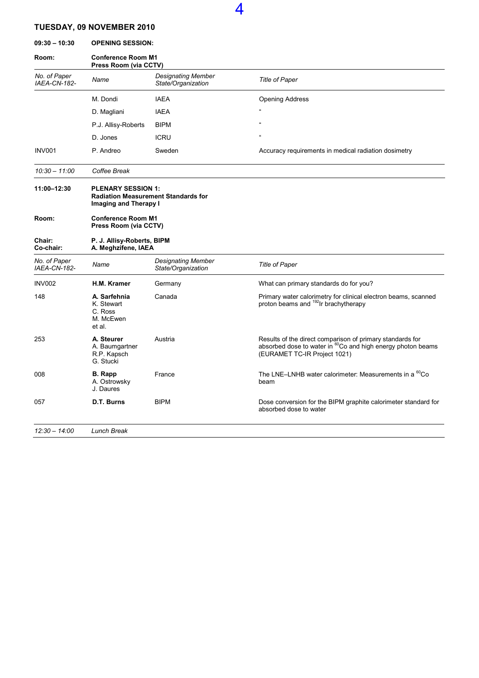### TUESDAY, 09 NOVEMBER 2010

09:30 – 10:30 OPENING SESSION:

| Room:                        | <b>Conference Room M1</b><br>Press Room (via CCTV)           |                                                 |                                                                                                                                                                      |  |
|------------------------------|--------------------------------------------------------------|-------------------------------------------------|----------------------------------------------------------------------------------------------------------------------------------------------------------------------|--|
| No. of Paper<br>IAEA-CN-182- | Name                                                         | <b>Designating Member</b><br>State/Organization | Title of Paper                                                                                                                                                       |  |
|                              | M. Dondi                                                     | <b>IAEA</b>                                     | <b>Opening Address</b>                                                                                                                                               |  |
|                              | D. Magliani                                                  | <b>IAEA</b>                                     |                                                                                                                                                                      |  |
|                              | P.J. Allisy-Roberts                                          | <b>BIPM</b>                                     |                                                                                                                                                                      |  |
|                              | D. Jones                                                     | <b>ICRU</b>                                     | $\alpha$                                                                                                                                                             |  |
| <b>INV001</b>                | P. Andreo                                                    | Sweden                                          | Accuracy requirements in medical radiation dosimetry                                                                                                                 |  |
| $10:30 - 11:00$              | Coffee Break                                                 |                                                 |                                                                                                                                                                      |  |
| 11:00-12:30                  | <b>PLENARY SESSION 1:</b><br>Imaging and Therapy I           | <b>Radiation Measurement Standards for</b>      |                                                                                                                                                                      |  |
| Room:                        | <b>Conference Room M1</b><br>Press Room (via CCTV)           |                                                 |                                                                                                                                                                      |  |
| Chair:<br>Co-chair:          | P. J. Allisy-Roberts, BIPM<br>A. Meghzifene, IAEA            |                                                 |                                                                                                                                                                      |  |
| No. of Paper<br>IAEA-CN-182- | Name                                                         | <b>Designating Member</b><br>State/Organization | <b>Title of Paper</b>                                                                                                                                                |  |
| <b>INV002</b>                | <b>H.M. Kramer</b>                                           | Germany                                         | What can primary standards do for you?                                                                                                                               |  |
| 148                          | A. Sarfehnia<br>K. Stewart<br>C. Ross<br>M. McEwen<br>et al. | Canada                                          | Primary water calorimetry for clinical electron beams, scanned<br>proton beams and <sup>192</sup> Ir brachytherapy                                                   |  |
| 253                          | A. Steurer<br>A. Baumgartner<br>R.P. Kapsch<br>G. Stucki     | Austria                                         | Results of the direct comparison of primary standards for<br>absorbed dose to water in <sup>60</sup> Co and high energy photon beams<br>(EURAMET TC-IR Project 1021) |  |
| 008                          | <b>B.</b> Rapp<br>A. Ostrowsky<br>J. Daures                  | France                                          | The LNE-LNHB water calorimeter: Measurements in a <sup>60</sup> Co<br>beam                                                                                           |  |
| 057                          | D.T. Burns                                                   | <b>BIPM</b>                                     | Dose conversion for the BIPM graphite calorimeter standard for<br>absorbed dose to water                                                                             |  |
| $12:30 - 14:00$              | <b>Lunch Break</b>                                           |                                                 |                                                                                                                                                                      |  |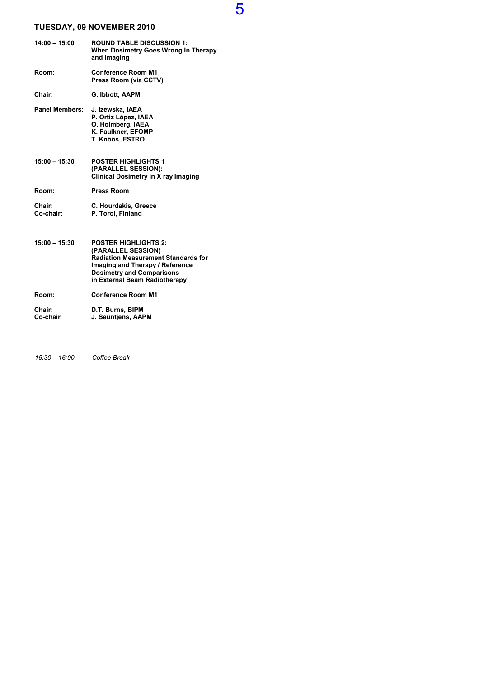### TUESDAY, 09 NOVEMBER 2010

| $14:00 - 15:00$       | <b>ROUND TABLE DISCUSSION 1:</b><br>When Dosimetry Goes Wrong In Therapy<br>and Imaging                                                                                                                 |
|-----------------------|---------------------------------------------------------------------------------------------------------------------------------------------------------------------------------------------------------|
| Room:                 | <b>Conference Room M1</b><br>Press Room (via CCTV)                                                                                                                                                      |
| Chair:                | G. Ibbott, AAPM                                                                                                                                                                                         |
| <b>Panel Members:</b> | J. Izewska, IAEA<br>P. Ortiz López, IAEA<br>O. Holmberg, IAEA<br>K. Faulkner, EFOMP<br>T. Knöös, ESTRO                                                                                                  |
| $15:00 - 15:30$       | <b>POSTER HIGHLIGHTS 1</b><br>(PARALLEL SESSION):<br><b>Clinical Dosimetry in X ray Imaging</b>                                                                                                         |
| Room:                 | <b>Press Room</b>                                                                                                                                                                                       |
| Chair:<br>Co-chair:   | C. Hourdakis, Greece<br>P. Toroi, Finland                                                                                                                                                               |
| $15:00 - 15:30$       | <b>POSTER HIGHLIGHTS 2:</b><br>(PARALLEL SESSION)<br><b>Radiation Measurement Standards for</b><br>Imaging and Therapy / Reference<br><b>Dosimetry and Comparisons</b><br>in External Beam Radiotherapy |
| Room:                 | <b>Conference Room M1</b>                                                                                                                                                                               |
| Chair:<br>Co-chair    | D.T. Burns, BIPM<br>J. Seuntjens, AAPM                                                                                                                                                                  |

15:30 – 16:00 Coffee Break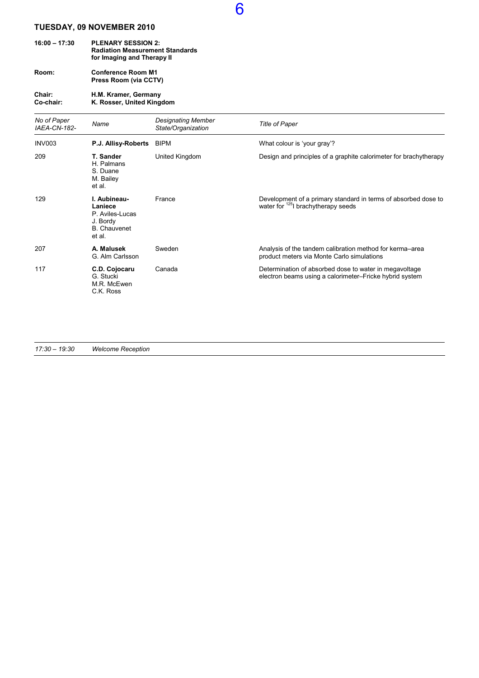### TUESDAY, 09 NOVEMBER 2010

| $16:00 - 17:30$ | <b>PLENARY SESSION 2:</b>              |
|-----------------|----------------------------------------|
|                 | <b>Radiation Measurement Standards</b> |
|                 | for Imaging and Therapy II             |

Room: Conference Room M1 Press Room (via CCTV)

#### Chair: H.M. Kramer, Germany Co-chair: K. Rosser, United Kingdom

| No of Paper<br><b>IAEA-CN-182-</b> | Name                                                                                    | <b>Designating Member</b><br>State/Organization | <b>Title of Paper</b>                                                                                             |
|------------------------------------|-----------------------------------------------------------------------------------------|-------------------------------------------------|-------------------------------------------------------------------------------------------------------------------|
| INV003                             | P.J. Allisy-Roberts                                                                     | BIPM                                            | What colour is 'your gray'?                                                                                       |
| 209                                | T. Sander<br>H. Palmans<br>S. Duane<br>M. Bailey<br>et al.                              | United Kingdom                                  | Design and principles of a graphite calorimeter for brachytherapy                                                 |
| 129                                | I. Aubineau-<br>Laniece<br>P. Aviles-Lucas<br>J. Bordy<br><b>B.</b> Chauvenet<br>et al. | France                                          | Development of a primary standard in terms of absorbed dose to<br>water for <sup>125</sup> l brachytherapy seeds  |
| 207                                | A. Malusek<br>G. Alm Carlsson                                                           | Sweden                                          | Analysis of the tandem calibration method for kerma-area<br>product meters via Monte Carlo simulations            |
| 117                                | C.D. Cojocaru<br>G. Stucki<br>M.R. McEwen<br>C.K. Ross                                  | Canada                                          | Determination of absorbed dose to water in megavoltage<br>electron beams using a calorimeter-Fricke hybrid system |

6

17:30 – 19:30 Welcome Reception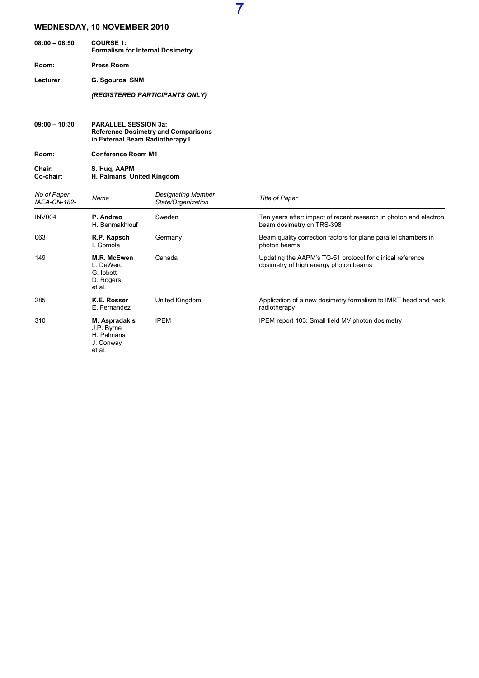| $08:00 - 08:50$ | <b>COURSE 1:</b><br><b>Formalism for Internal Dosimetry</b> |
|-----------------|-------------------------------------------------------------|
| Room:           | <b>Press Room</b>                                           |
| Lecturer:       | G. Sgouros, SNM                                             |
|                 | (REGISTERED PARTICIPANTS ONLY)                              |
|                 |                                                             |

#### 09:00 – 10:30 PARALLEL SESSION 3a: Reference Dosimetry and Comparisons in External Beam Radiotherapy I

Room: Conference Room M1

Chair: S. Huq, AAPM Co-chair: H. Palmans, United Kingdom

| No of Paper<br><b>IAEA-CN-182-</b> | Name                                                             | <b>Designating Member</b><br>State/Organization | <b>Title of Paper</b>                                                                              |
|------------------------------------|------------------------------------------------------------------|-------------------------------------------------|----------------------------------------------------------------------------------------------------|
| <b>INV004</b>                      | P. Andreo<br>H. Benmakhlouf                                      | Sweden                                          | Ten years after: impact of recent research in photon and electron<br>beam dosimetry on TRS-398     |
| 063                                | R.P. Kapsch<br>I. Gomola                                         | Germany                                         | Beam quality correction factors for plane parallel chambers in<br>photon beams                     |
| 149                                | M.R. McEwen<br>L. DeWerd<br>G. Ibbott<br>D. Rogers<br>et al.     | Canada                                          | Updating the AAPM's TG-51 protocol for clinical reference<br>dosimetry of high energy photon beams |
| 285                                | K.E. Rosser<br>E. Fernandez                                      | United Kingdom                                  | Application of a new dosimetry formalism to IMRT head and neck<br>radiotherapy                     |
| 310                                | M. Aspradakis<br>J.P. Byrne<br>H. Palmans<br>J. Conway<br>et al. | <b>IPEM</b>                                     | IPEM report 103: Small field MV photon dosimetry                                                   |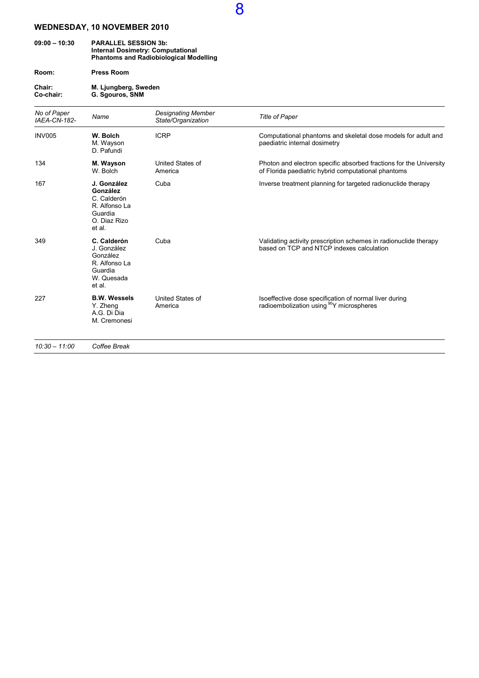#### 09:00 – 10:30 PARALLEL SESSION 3b: Internal Dosimetry: Computational Phantoms and Radiobiological Modelling

Room: Press Room

Chair: M. Ljungberg, Sweden Co-chair: G. Sgouros, SNM

| No of Paper<br>IAEA-CN-182- | Name                                                                                         | <b>Designating Member</b><br>State/Organization | <b>Title of Paper</b>                                                                                                     |
|-----------------------------|----------------------------------------------------------------------------------------------|-------------------------------------------------|---------------------------------------------------------------------------------------------------------------------------|
| <b>INV005</b>               | W. Bolch<br>M. Wayson<br>D. Pafundi                                                          | <b>ICRP</b>                                     | Computational phantoms and skeletal dose models for adult and<br>paediatric internal dosimetry                            |
| 134                         | M. Wayson<br>W. Bolch                                                                        | United States of<br>America                     | Photon and electron specific absorbed fractions for the University<br>of Florida paediatric hybrid computational phantoms |
| 167                         | J. González<br>González<br>C. Calderón<br>R. Alfonso La<br>Guardia<br>O. Diaz Rizo<br>et al. | Cuba                                            | Inverse treatment planning for targeted radionuclide therapy                                                              |
| 349                         | C. Calderón<br>J. González<br>González<br>R. Alfonso La<br>Guardia<br>W. Quesada<br>et al.   | Cuba                                            | Validating activity prescription schemes in radionuclide therapy<br>based on TCP and NTCP indexes calculation             |
| 227                         | <b>B.W. Wessels</b><br>Y. Zheng<br>A.G. Di Dia<br>M. Cremonesi                               | United States of<br>America                     | Isoeffective dose specification of normal liver during<br>radioembolization using <sup>90</sup> Y microspheres            |
| $10:30 - 11:00$             | Coffee Break                                                                                 |                                                 |                                                                                                                           |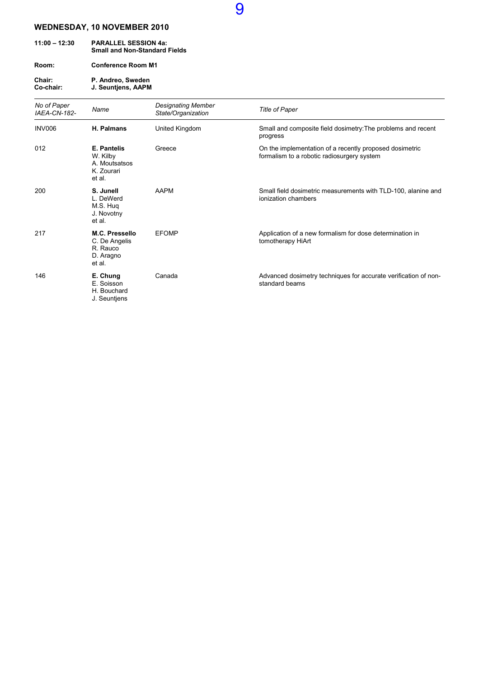| $11:00 - 12:30$     | <b>PARALLEL SESSION 4a:</b><br><b>Small and Non-Standard Fields</b> |
|---------------------|---------------------------------------------------------------------|
| Room:               | <b>Conference Room M1</b>                                           |
| Chair:<br>Co-chair: | P. Andreo, Sweden<br>J. Seuntiens, AAPM                             |

| No of Paper<br>IAEA-CN-182- | Name                                                                    | <b>Designating Member</b><br>State/Organization | <b>Title of Paper</b>                                                                                 |
|-----------------------------|-------------------------------------------------------------------------|-------------------------------------------------|-------------------------------------------------------------------------------------------------------|
| <b>INV006</b>               | H. Palmans                                                              | United Kingdom                                  | Small and composite field dosimetry: The problems and recent<br>progress                              |
| 012                         | <b>E. Pantelis</b><br>W. Kilby<br>A. Moutsatsos<br>K. Zourari<br>et al. | Greece                                          | On the implementation of a recently proposed dosimetric<br>formalism to a robotic radiosurgery system |
| 200                         | S. Junell<br>L. DeWerd<br>M.S. Hug<br>J. Novotny<br>et al.              | AAPM                                            | Small field dosimetric measurements with TLD-100, alanine and<br>ionization chambers                  |
| 217                         | M.C. Pressello<br>C. De Angelis<br>R. Rauco<br>D. Aragno<br>et al.      | <b>EFOMP</b>                                    | Application of a new formalism for dose determination in<br>tomotherapy HiArt                         |
| 146                         | E. Chung<br>E. Soisson<br>H. Bouchard<br>J. Seuntjens                   | Canada                                          | Advanced dosimetry techniques for accurate verification of non-<br>standard beams                     |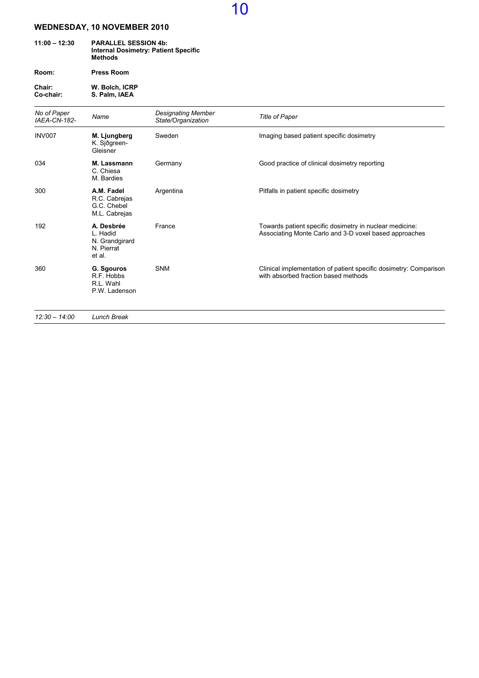| $11:00 - 12:30$ | <b>PARALLEL SESSION 4b:</b><br><b>Internal Dosimetry: Patient Specific</b><br>Methods |  |
|-----------------|---------------------------------------------------------------------------------------|--|
| Room:           | <b>Press Room</b>                                                                     |  |

Chair: W. Bolch, ICRP Co-chair: S. Palm, IAEA

| No of Paper<br>IAEA-CN-182- | Name                                                             | <b>Designating Member</b><br>State/Organization | <b>Title of Paper</b>                                                                                             |
|-----------------------------|------------------------------------------------------------------|-------------------------------------------------|-------------------------------------------------------------------------------------------------------------------|
| <b>INV007</b>               | M. Ljungberg<br>K. Sjðgreen-<br>Gleisner                         | Sweden                                          | Imaging based patient specific dosimetry                                                                          |
| 034                         | M. Lassmann<br>C. Chiesa<br>M. Bardies                           | Germany                                         | Good practice of clinical dosimetry reporting                                                                     |
| 300                         | A.M. Fadel<br>R.C. Cabrejas<br>G.C. Chebel<br>M.L. Cabrejas      | Argentina                                       | Pitfalls in patient specific dosimetry                                                                            |
| 192                         | A. Desbrée<br>L. Hadid<br>N. Grandgirard<br>N. Pierrat<br>et al. | France                                          | Towards patient specific dosimetry in nuclear medicine:<br>Associating Monte Carlo and 3-D voxel based approaches |
| 360                         | G. Sgouros<br>R.F. Hobbs<br>R.L. Wahl<br>P.W. Ladenson           | <b>SNM</b>                                      | Clinical implementation of patient specific dosimetry: Comparison<br>with absorbed fraction based methods         |
| $12:30 - 14:00$             | <b>Lunch Break</b>                                               |                                                 |                                                                                                                   |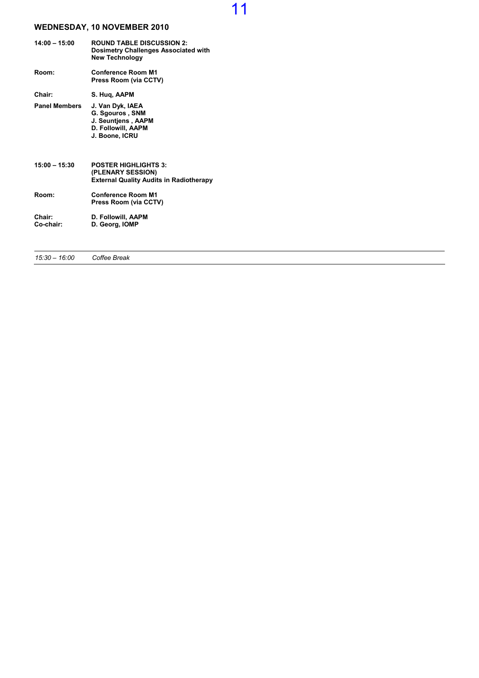| $14:00 - 15:00$      | <b>ROUND TABLE DISCUSSION 2:</b><br><b>Dosimetry Challenges Associated with</b><br><b>New Technology</b> |
|----------------------|----------------------------------------------------------------------------------------------------------|
| Room:                | <b>Conference Room M1</b><br>Press Room (via CCTV)                                                       |
| Chair:               | S. Hug, AAPM                                                                                             |
| <b>Panel Members</b> | J. Van Dyk, IAEA<br>G. Sgouros, SNM<br>J. Seuntiens, AAPM<br>D. Followill, AAPM<br>J. Boone, ICRU        |
| $15:00 - 15:30$      | <b>POSTER HIGHLIGHTS 3:</b><br>(PLENARY SESSION)<br><b>External Quality Audits in Radiotherapy</b>       |
| Room:                | <b>Conference Room M1</b><br>Press Room (via CCTV)                                                       |
| Chair:<br>Co-chair:  | D. Followill, AAPM<br>D. Georg, IOMP                                                                     |

15:30 – 16:00 Coffee Break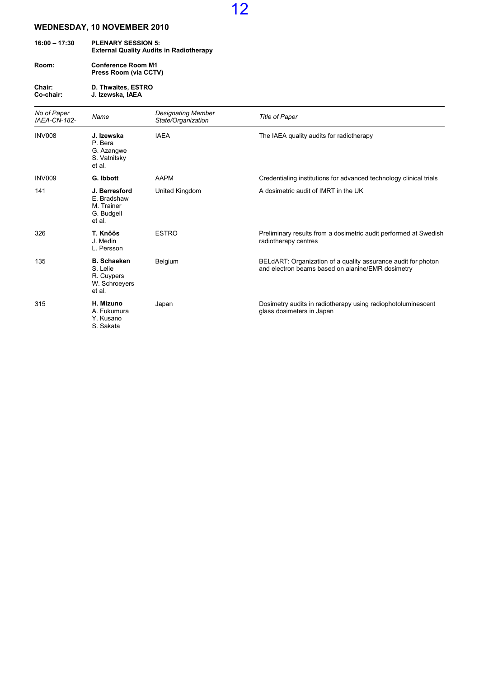| $16:00 - 17:30$ | <b>PLENARY SESSION 5:</b><br><b>External Quality Audits in Radiotherapy</b> |
|-----------------|-----------------------------------------------------------------------------|
| Room:           | <b>Conference Room M1</b>                                                   |

Press Room (via CCTV)

Chair: D. Thwaites, ESTRO Co-chair: J. Izewska, IAEA

| No of Paper<br>IAEA-CN-182- | Name                                                                    | <b>Designating Member</b><br>State/Organization | <b>Title of Paper</b>                                                                                              |
|-----------------------------|-------------------------------------------------------------------------|-------------------------------------------------|--------------------------------------------------------------------------------------------------------------------|
| INV008                      | J. Izewska<br>P. Bera<br>G. Azangwe<br>S. Vatnitsky<br>et al.           | <b>IAEA</b>                                     | The IAEA quality audits for radiotherapy                                                                           |
| <b>INV009</b>               | G. Ibbott                                                               | <b>AAPM</b>                                     | Credentialing institutions for advanced technology clinical trials                                                 |
| 141                         | J. Berresford<br>E. Bradshaw<br>M. Trainer<br>G. Budgell<br>et al.      | United Kingdom                                  | A dosimetric audit of IMRT in the UK                                                                               |
| 326                         | T. Knöös<br>J. Medin<br>L. Persson                                      | <b>ESTRO</b>                                    | Preliminary results from a dosimetric audit performed at Swedish<br>radiotherapy centres                           |
| 135                         | <b>B.</b> Schaeken<br>S. Lelie<br>R. Cuypers<br>W. Schroeyers<br>et al. | Belgium                                         | BELdART: Organization of a quality assurance audit for photon<br>and electron beams based on alanine/EMR dosimetry |
| 315                         | H. Mizuno<br>A. Fukumura<br>Y. Kusano<br>S. Sakata                      | Japan                                           | Dosimetry audits in radiotherapy using radiophotoluminescent<br>glass dosimeters in Japan                          |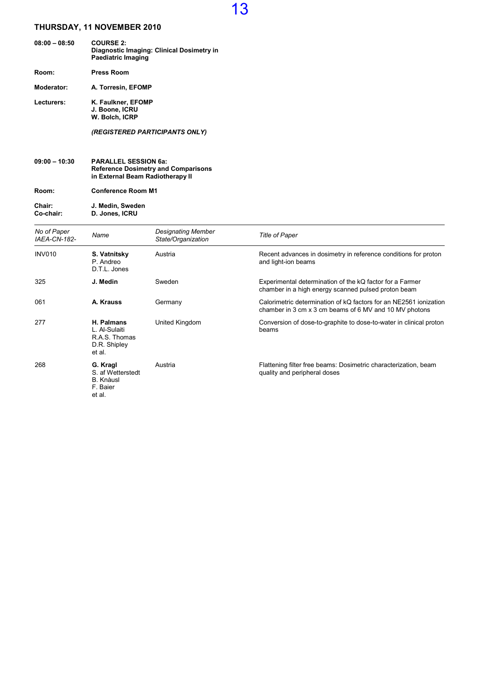| $08:00 - 08:50$ | <b>COURSE 2:</b><br>Diagnostic Imaging: Clinical Dosimetry in<br>Paediatric Imaging |
|-----------------|-------------------------------------------------------------------------------------|
| Room:           | <b>Press Room</b>                                                                   |
| Moderator:      | A. Torresin, EFOMP                                                                  |
| Lecturers:      | K. Faulkner, EFOMP<br>J. Boone, ICRU<br>W. Bolch. ICRP                              |
|                 | (REGISTERED PARTICIPANTS ONLY)                                                      |

| $09:00 - 10:30$ | <b>PARALLEL SESSION 6a:</b>                |
|-----------------|--------------------------------------------|
|                 | <b>Reference Dosimetry and Comparisons</b> |
|                 | in External Beam Radiotherapy II           |
|                 |                                            |

Room: Conference Room M1 Chair: J. Medin, Sweden

Co-chair: D. Jones, ICRU

| No of Paper<br><b>IAEA-CN-182-</b> | Name                                                                    | <b>Designating Member</b><br>State/Organization | <b>Title of Paper</b>                                                                                                       |
|------------------------------------|-------------------------------------------------------------------------|-------------------------------------------------|-----------------------------------------------------------------------------------------------------------------------------|
| INV010                             | S. Vatnitsky<br>P. Andreo<br>D.T.L. Jones                               | Austria                                         | Recent advances in dosimetry in reference conditions for proton<br>and light-ion beams                                      |
| 325                                | J. Medin                                                                | Sweden                                          | Experimental determination of the kQ factor for a Farmer<br>chamber in a high energy scanned pulsed proton beam             |
| 061                                | A. Krauss                                                               | Germany                                         | Calorimetric determination of kQ factors for an NE2561 ionization<br>chamber in 3 cm x 3 cm beams of 6 MV and 10 MV photons |
| 277                                | H. Palmans<br>L. Al-Sulaiti<br>R.A.S. Thomas<br>D.R. Shipley<br>et al.  | United Kingdom                                  | Conversion of dose-to-graphite to dose-to-water in clinical proton<br>beams                                                 |
| 268                                | G. Kragl<br>S. af Wetterstedt<br><b>B.</b> Knàusl<br>F. Baier<br>et al. | Austria                                         | Flattening filter free beams: Dosimetric characterization, beam<br>quality and peripheral doses                             |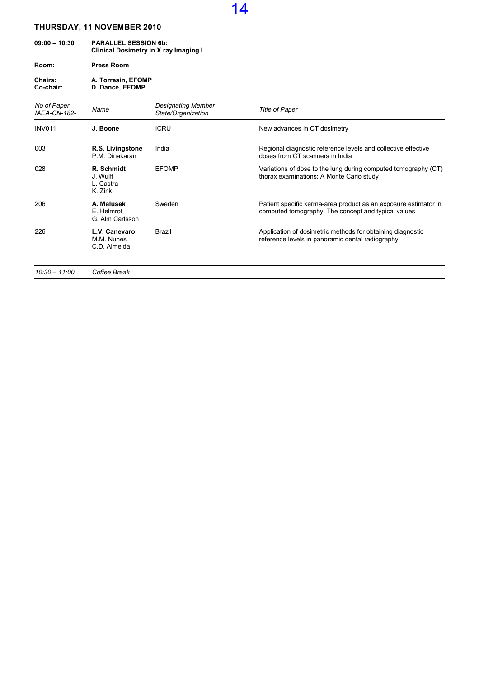| $09:00 - 10:30$ | <b>PARALLEL SESSION 6b:</b><br>Clinical Dosimetry in X ray Imaging I |  |
|-----------------|----------------------------------------------------------------------|--|
| Room:           | <b>Press Room</b>                                                    |  |
| <b>Chairs:</b>  | A. Torresin, EFOMP                                                   |  |

Co-chair: D. Dance, EFOMP

| No of Paper<br>IAEA-CN-182- | Name                                           | <b>Designating Member</b><br>State/Organization | Title of Paper                                                                                                         |
|-----------------------------|------------------------------------------------|-------------------------------------------------|------------------------------------------------------------------------------------------------------------------------|
| <b>INV011</b>               | J. Boone                                       | <b>ICRU</b>                                     | New advances in CT dosimetry                                                                                           |
| 003                         | R.S. Livingstone<br>P.M. Dinakaran             | India                                           | Regional diagnostic reference levels and collective effective<br>doses from CT scanners in India                       |
| 028                         | R. Schmidt<br>J. Wulff<br>L. Castra<br>K. Zink | <b>EFOMP</b>                                    | Variations of dose to the lung during computed tomography (CT)<br>thorax examinations: A Monte Carlo study             |
| 206                         | A. Malusek<br>E. Helmrot<br>G. Alm Carlsson    | Sweden                                          | Patient specific kerma-area product as an exposure estimator in<br>computed tomography: The concept and typical values |
| 226                         | L.V. Canevaro<br>M.M. Nunes<br>C.D. Almeida    | Brazil                                          | Application of dosimetric methods for obtaining diagnostic<br>reference levels in panoramic dental radiography         |
| $10:30 - 11:00$             | Coffee Break                                   |                                                 |                                                                                                                        |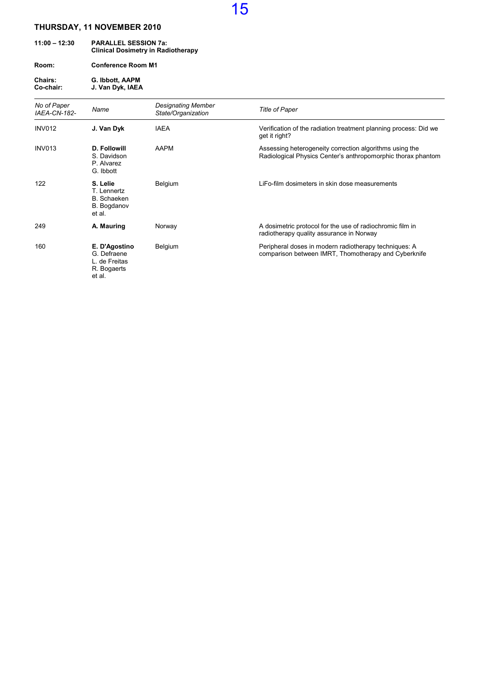| $11:00 - 12:30$      | <b>PARALLEL SESSION 7a:</b><br><b>Clinical Dosimetry in Radiotherapy</b> |                        |
|----------------------|--------------------------------------------------------------------------|------------------------|
| Room:                | <b>Conference Room M1</b>                                                |                        |
| Chairs:<br>Co-chair: | G. Ibbott, AAPM<br>J. Van Dyk, IAEA                                      |                        |
| No of Paper          | $N_{\rm mm}$                                                             | <b>Designating Mer</b> |

| No of Paper<br>IAEA-CN-182- | Name                                                                   | <b>Designating Member</b><br>State/Organization | <b>Title of Paper</b>                                                                                                   |
|-----------------------------|------------------------------------------------------------------------|-------------------------------------------------|-------------------------------------------------------------------------------------------------------------------------|
| <b>INV012</b>               | J. Van Dyk                                                             | <b>IAEA</b>                                     | Verification of the radiation treatment planning process: Did we<br>get it right?                                       |
| <b>INV013</b>               | D. Followill<br>S. Davidson<br>P. Alvarez<br>G. Ibbott                 | AAPM                                            | Assessing heterogeneity correction algorithms using the<br>Radiological Physics Center's anthropomorphic thorax phantom |
| 122                         | S. Lelie<br>T. Lennertz<br><b>B.</b> Schaeken<br>B. Bogdanov<br>et al. | Belgium                                         | LiFo-film dosimeters in skin dose measurements                                                                          |
| 249                         | A. Mauring                                                             | Norway                                          | A dosimetric protocol for the use of radiochromic film in<br>radiotherapy quality assurance in Norway                   |
| 160                         | E. D'Agostino<br>G. Defraene<br>L. de Freitas<br>R. Bogaerts<br>et al. | Belgium                                         | Peripheral doses in modern radiotherapy techniques: A<br>comparison between IMRT, Thomotherapy and Cyberknife           |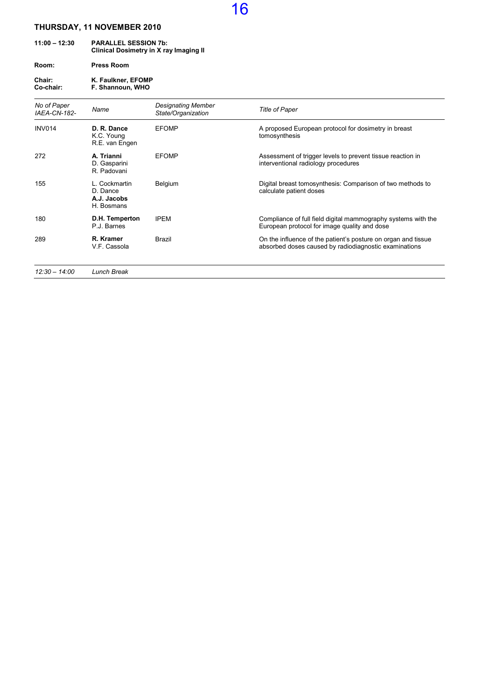## 11:00 – 12:30 PARALLEL SESSION 7b: Clinical Dosimetry in X ray Imaging II Room: Press Room

Chair: K. Faulkner, EFOMP Co-chair: F. Shannoun, WHO

| No of Paper<br><b>IAEA-CN-182-</b> | Name                                                   | Designating Member<br>State/Organization | <b>Title of Paper</b>                                                                                                  |
|------------------------------------|--------------------------------------------------------|------------------------------------------|------------------------------------------------------------------------------------------------------------------------|
| <b>INV014</b>                      | D. R. Dance<br>K.C. Young<br>R.E. van Engen            | <b>EFOMP</b>                             | A proposed European protocol for dosimetry in breast<br>tomosynthesis                                                  |
| 272                                | A. Trianni<br>D. Gasparini<br>R. Padovani              | <b>EFOMP</b>                             | Assessment of trigger levels to prevent tissue reaction in<br>interventional radiology procedures                      |
| 155                                | L. Cockmartin<br>D. Dance<br>A.J. Jacobs<br>H. Bosmans | Belgium                                  | Digital breast tomosynthesis: Comparison of two methods to<br>calculate patient doses                                  |
| 180                                | D.H. Temperton<br>P.J. Barnes                          | <b>IPEM</b>                              | Compliance of full field digital mammography systems with the<br>European protocol for image quality and dose          |
| 289                                | R. Kramer<br>V.F. Cassola                              | Brazil                                   | On the influence of the patient's posture on organ and tissue<br>absorbed doses caused by radiodiagnostic examinations |
| $12:30 - 14:00$                    | <b>Lunch Break</b>                                     |                                          |                                                                                                                        |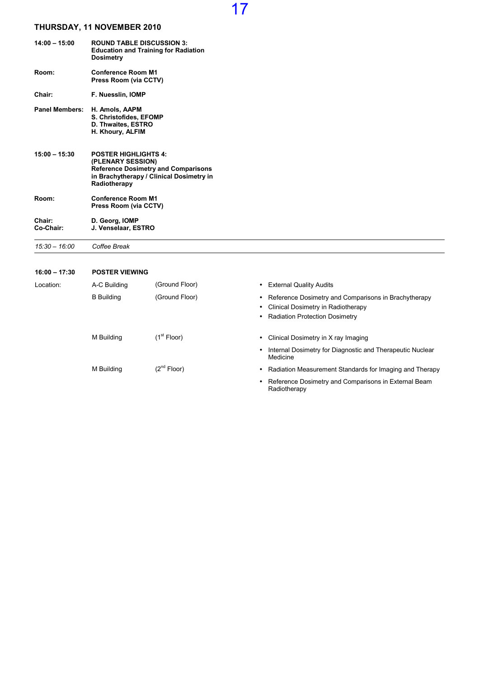| $14:00 - 15:00$       | <b>ROUND TABLE DISCUSSION 3:</b><br><b>Education and Training for Radiation</b><br><b>Dosimetry</b>                                                        |
|-----------------------|------------------------------------------------------------------------------------------------------------------------------------------------------------|
| Room:                 | <b>Conference Room M1</b><br>Press Room (via CCTV)                                                                                                         |
| Chair:                | F. Nuesslin, IOMP                                                                                                                                          |
| <b>Panel Members:</b> | H. Amols, AAPM<br>S. Christofides, EFOMP<br>D. Thwaites, ESTRO<br>H. Khoury, ALFIM                                                                         |
| $15:00 - 15:30$       | <b>POSTER HIGHLIGHTS 4:</b><br>(PLENARY SESSION)<br><b>Reference Dosimetry and Comparisons</b><br>in Brachytherapy / Clinical Dosimetry in<br>Radiotherapy |
| Room:                 | <b>Conference Room M1</b><br>Press Room (via CCTV)                                                                                                         |
| Chair:<br>Co-Chair:   | D. Georg, IOMP<br>J. Venselaar, ESTRO                                                                                                                      |

15:30 – 16:00 Coffee Break

| $16:00 - 17:30$ | <b>POSTER VIEWING</b> |                         |                                                                                                                                |
|-----------------|-----------------------|-------------------------|--------------------------------------------------------------------------------------------------------------------------------|
| Location:       | A-C Building          | (Ground Floor)          | <b>External Quality Audits</b>                                                                                                 |
|                 | <b>B</b> Building     | (Ground Floor)          | Reference Dosimetry and Comparisons in Brachytherapy<br>Clinical Dosimetry in Radiotherapy<br>• Radiation Protection Dosimetry |
|                 | M Building            | (1 <sup>st</sup> Floor) | Clinical Dosimetry in X ray Imaging                                                                                            |
|                 |                       |                         | Internal Dosimetry for Diagnostic and Therapeutic Nuclear<br>Medicine                                                          |
|                 | M Building            | $(2^{nd}$ Floor)        | Radiation Measurement Standards for Imaging and Therapy                                                                        |
|                 |                       |                         | Reference Dosimetry and Comparisons in External Beam<br>Radiotherapy                                                           |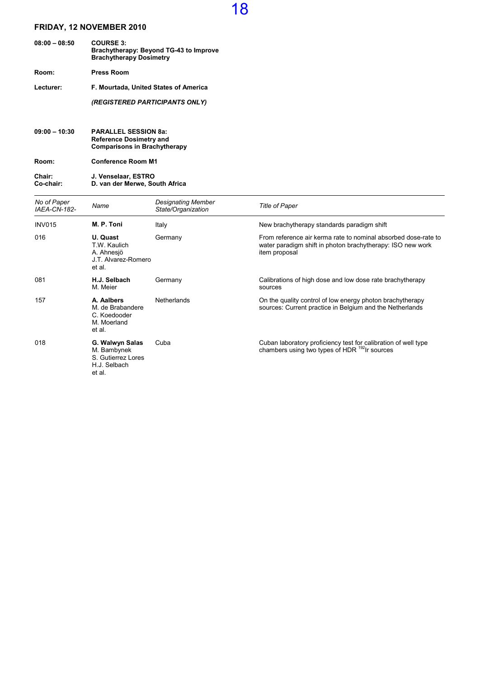| $08:00 - 08:50$ | <b>COURSE 3:</b><br>Brachytherapy: Beyond TG-43 to Improve<br><b>Brachytherapy Dosimetry</b> |
|-----------------|----------------------------------------------------------------------------------------------|
| Room:           | <b>Press Room</b>                                                                            |
| Lecturer:       | F. Mourtada, United States of America                                                        |
|                 | (REGISTERED PARTICIPANTS ONLY)                                                               |
|                 |                                                                                              |

09:00 – 10:30 PARALLEL SESSION 8a: Reference Dosimetry and Comparisons in Brachytherapy

Room: Conference Room M1

#### Chair: J. Venselaar, ESTRO Co-chair: D. van der Merwe, South Africa

| No of Paper<br><b>IAEA-CN-182-</b> | Name                                                                           | <b>Designating Member</b><br>State/Organization | <b>Title of Paper</b>                                                                                                                         |
|------------------------------------|--------------------------------------------------------------------------------|-------------------------------------------------|-----------------------------------------------------------------------------------------------------------------------------------------------|
| <b>INV015</b>                      | M. P. Toni                                                                     | Italy                                           | New brachytherapy standards paradigm shift                                                                                                    |
| 016                                | U. Quast<br>T.W. Kaulich<br>A. Ahnesjö<br>J.T. Alvarez-Romero<br>et al.        | Germany                                         | From reference air kerma rate to nominal absorbed dose-rate to<br>water paradigm shift in photon brachytherapy: ISO new work<br>item proposal |
| 081                                | H.J. Selbach<br>M. Meier                                                       | Germany                                         | Calibrations of high dose and low dose rate brachytherapy<br>sources                                                                          |
| 157                                | A. Aalbers<br>M. de Brabandere<br>C. Koedooder<br>M. Moerland<br>et al.        | <b>Netherlands</b>                              | On the quality control of low energy photon brachytherapy<br>sources: Current practice in Belgium and the Netherlands                         |
| 018                                | G. Walwyn Salas<br>M. Bambynek<br>S. Gutierrez Lores<br>H.J. Selbach<br>et al. | Cuba                                            | Cuban laboratory proficiency test for calibration of well type<br>chambers using two types of HDR <sup>192</sup> Ir sources                   |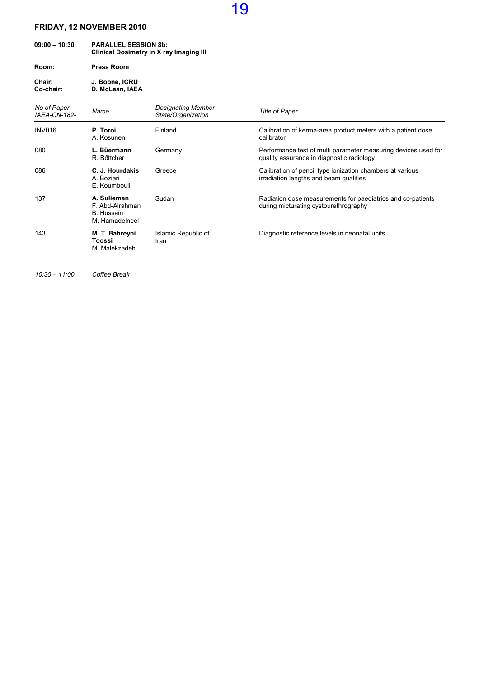| $09:00 - 10:30$ | <b>PARALLEL SESSION 8b:</b><br>Clinical Dosimetry in X ray Imaging III |  |
|-----------------|------------------------------------------------------------------------|--|
| Room:           | <b>Press Room</b>                                                      |  |

Chair: J. Boone, ICRU Co-chair: D. McLean, IAEA

| No of Paper<br><b>IAEA-CN-182-</b> | Name                                                           | Designating Member<br>State/Organization | <b>Title of Paper</b>                                                                                       |
|------------------------------------|----------------------------------------------------------------|------------------------------------------|-------------------------------------------------------------------------------------------------------------|
| <b>INV016</b>                      | P. Toroi<br>A. Kosunen                                         | Finland                                  | Calibration of kerma-area product meters with a patient dose<br>calibrator                                  |
| 080                                | L. Büermann<br>R. Bðttcher                                     | Germany                                  | Performance test of multi parameter measuring devices used for<br>quality assurance in diagnostic radiology |
| 086                                | C. J. Hourdakis<br>A. Boziari<br>E. Koumbouli                  | Greece                                   | Calibration of pencil type ionization chambers at various<br>irradiation lengths and beam qualities         |
| 137                                | A. Sulieman<br>F. Abd-Alrahman<br>B. Hussain<br>M. Hamadelneel | Sudan                                    | Radiation dose measurements for paediatrics and co-patients<br>during micturating cystourethrography        |
| 143                                | M. T. Bahreyni<br>Toossi<br>M. Malekzadeh                      | Islamic Republic of<br>Iran              | Diagnostic reference levels in neonatal units                                                               |
| $10:30 - 11:00$                    | Coffee Break                                                   |                                          |                                                                                                             |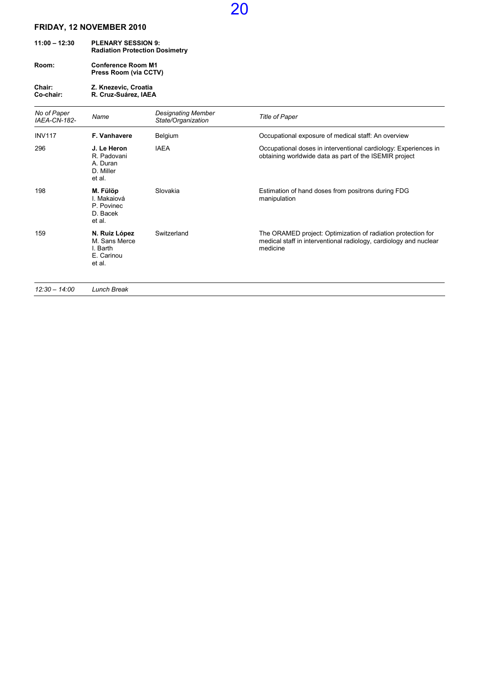| $11:00 - 12:30$ | <b>PLENARY SESSION 9:</b><br><b>Radiation Protection Dosimetry</b> |  |  |
|-----------------|--------------------------------------------------------------------|--|--|
| Room:           | <b>Conference Room M1</b>                                          |  |  |

Press Room (via CCTV)

#### Chair: Z. Knezevic, Croatia Co-chair: R. Cruz-Suárez, IAEA

| No of Paper<br>IAEA-CN-182- | Name                                                               | <b>Designating Member</b><br>State/Organization | <b>Title of Paper</b>                                                                                                                         |
|-----------------------------|--------------------------------------------------------------------|-------------------------------------------------|-----------------------------------------------------------------------------------------------------------------------------------------------|
| <b>INV117</b>               | <b>F. Vanhavere</b>                                                | Belgium                                         | Occupational exposure of medical staff: An overview                                                                                           |
| 296                         | J. Le Heron<br>R. Padovani<br>A. Duran<br>D. Miller<br>et al.      | <b>IAEA</b>                                     | Occupational doses in interventional cardiology: Experiences in<br>obtaining worldwide data as part of the ISEMIR project                     |
| 198                         | M. Fülöp<br>I. Makaiová<br>P. Povinec<br>D. Bacek<br>et al.        | Slovakia                                        | Estimation of hand doses from positrons during FDG<br>manipulation                                                                            |
| 159                         | N. Ruiz López<br>M. Sans Merce<br>I. Barth<br>E. Carinou<br>et al. | Switzerland                                     | The ORAMED project: Optimization of radiation protection for<br>medical staff in interventional radiology, cardiology and nuclear<br>medicine |
| $\cdots$                    | $\sim$ $\sim$ $\sim$ $\sim$ $\sim$ $\sim$                          |                                                 |                                                                                                                                               |

20

12:30 – 14:00 Lunch Break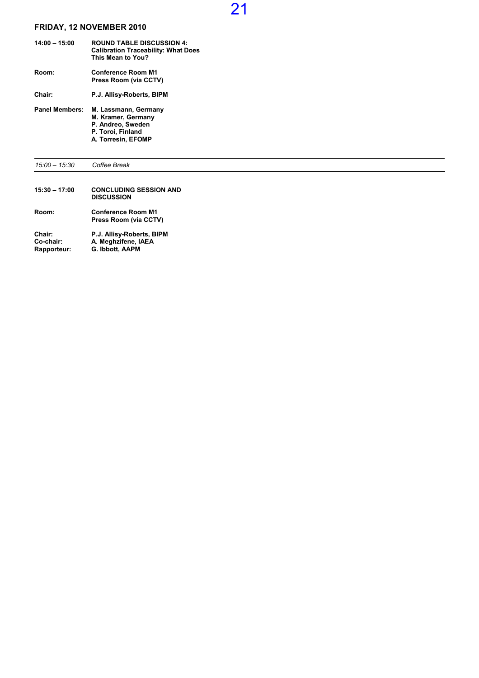| $14:00 - 15:00$       | <b>ROUND TABLE DISCUSSION 4:</b><br><b>Calibration Traceability: What Does</b><br>This Mean to You?        |
|-----------------------|------------------------------------------------------------------------------------------------------------|
| Room:                 | <b>Conference Room M1</b><br>Press Room (via CCTV)                                                         |
| Chair:                | P.J. Allisy-Roberts, BIPM                                                                                  |
| <b>Panel Members:</b> | M. Lassmann, Germany<br>M. Kramer, Germany<br>P. Andreo, Sweden<br>P. Toroi, Finland<br>A. Torresin, EFOMP |

15:00 – 15:30 Coffee Break 15:30 – 17:00 CONCLUDING SESSION AND **DISCUSSION** Room: Conference Room M1 Press Room (via CCTV) Chair: P.J. Allisy-Roberts, BIPM Co-chair: A. Meghzifene, IAEA Rapporteur: G. Ibbott, AAPM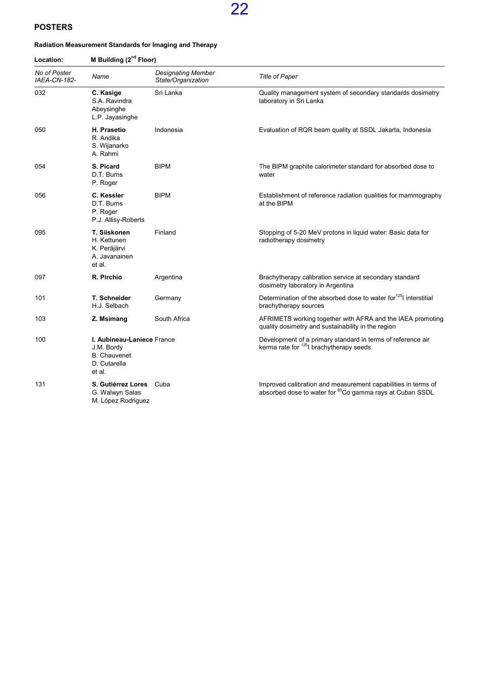### POSTERS

#### Radiation Measurement Standards for Imaging and Therapy

| Location:<br>No of Poster<br>IAEA-CN-182- | M Building (2 <sup>nd</sup> Floor)                                                        |                                                 |                                                                                                                                       |  |
|-------------------------------------------|-------------------------------------------------------------------------------------------|-------------------------------------------------|---------------------------------------------------------------------------------------------------------------------------------------|--|
|                                           | Name                                                                                      | <b>Designating Member</b><br>State/Organization | Title of Paper                                                                                                                        |  |
| 032                                       | C. Kasige<br>S.A. Ravindra<br>Abeysinghe<br>L.P. Jayasinghe                               | Sri Lanka                                       | Quality management system of secondary standards dosimetry<br>laboratory in Sri Lanka                                                 |  |
| 050                                       | H. Prasetio<br>R. Andika<br>S. Wijanarko<br>A. Rahmi                                      | Indonesia                                       | Evaluation of RQR beam quality at SSDL Jakarta, Indonesia                                                                             |  |
| 054                                       | S. Picard<br>D.T. Burns<br>P. Roger                                                       | <b>BIPM</b>                                     | The BIPM graphite calorimeter standard for absorbed dose to<br>water                                                                  |  |
| 056                                       | C. Kessler<br>D.T. Burns<br>P. Roger<br>P.J. Allisy-Roberts                               | <b>BIPM</b>                                     | Establishment of reference radiation qualities for mammography<br>at the BIPM                                                         |  |
| 095                                       | T. Siiskonen<br>H. Kettunen<br>K. Peräjärvi<br>A. Javanainen<br>et al.                    | Finland                                         | Stopping of 5-20 MeV protons in liquid water: Basic data for<br>radiotherapy dosimetry                                                |  |
| 097                                       | R. Pirchio                                                                                | Argentina                                       | Brachytherapy calibration service at secondary standard<br>dosimetry laboratory in Argentina                                          |  |
| 101                                       | T. Schneider<br>H.J. Selbach                                                              | Germany                                         | Determination of the absorbed dose to water for <sup>125</sup> l interstitial<br>brachytherapy sources                                |  |
| 103                                       | Z. Msimang                                                                                | South Africa                                    | AFRIMETS working together with AFRA and the IAEA promoting<br>quality dosimetry and sustainability in the region                      |  |
| 100                                       | I. Aubineau-Laniece France<br>J.M. Bordy<br><b>B.</b> Chauvenet<br>D. Cutarella<br>et al. |                                                 | Development of a primary standard in terms of reference air<br>kerma rate for <sup>125</sup> l brachytherapy seeds                    |  |
| 131                                       | S. Gutiérrez Lores Cuba<br>G. Walwyn Salas<br>M. López Rodriguez                          |                                                 | Improved calibration and measurement capabilities in terms of<br>absorbed dose to water for <sup>60</sup> Co gamma rays at Cuban SSDL |  |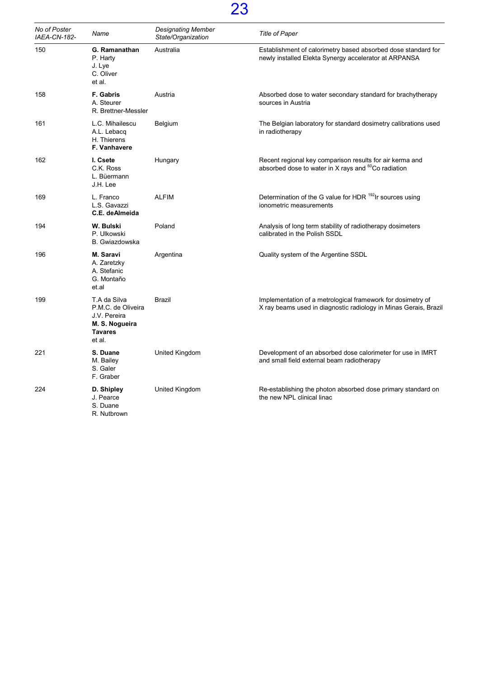| No of Poster<br>IAEA-CN-182- | Name                                                                                             | <b>Designating Member</b><br>State/Organization | <b>Title of Paper</b>                                                                                                           |
|------------------------------|--------------------------------------------------------------------------------------------------|-------------------------------------------------|---------------------------------------------------------------------------------------------------------------------------------|
| 150                          | G. Ramanathan<br>P. Harty<br>J. Lye<br>C. Oliver<br>et al.                                       | Australia                                       | Establishment of calorimetry based absorbed dose standard for<br>newly installed Elekta Synergy accelerator at ARPANSA          |
| 158                          | F. Gabris<br>A. Steurer<br>R. Brettner-Messler                                                   | Austria                                         | Absorbed dose to water secondary standard for brachytherapy<br>sources in Austria                                               |
| 161                          | L.C. Mihailescu<br>A.L. Lebacq<br>H. Thierens<br>F. Vanhavere                                    | Belgium                                         | The Belgian laboratory for standard dosimetry calibrations used<br>in radiotherapy                                              |
| 162                          | I. Csete<br>C.K. Ross<br>L. Büermann<br>J.H. Lee                                                 | Hungary                                         | Recent regional key comparison results for air kerma and<br>absorbed dose to water in X rays and <sup>60</sup> Co radiation     |
| 169                          | L. Franco<br>L.S. Gavazzi<br>C.E. deAlmeida                                                      | <b>ALFIM</b>                                    | Determination of the G value for HDR <sup>192</sup> Ir sources using<br>ionometric measurements                                 |
| 194                          | W. Bulski<br>P. Ulkowski<br>B. Gwiazdowska                                                       | Poland                                          | Analysis of long term stability of radiotherapy dosimeters<br>calibrated in the Polish SSDL                                     |
| 196                          | M. Saravi<br>A. Zaretzky<br>A. Stefanic<br>G. Montaño<br>et.al                                   | Argentina                                       | Quality system of the Argentine SSDL                                                                                            |
| 199                          | T.A da Silva<br>P.M.C. de Oliveira<br>J.V. Pereira<br>M. S. Nogueira<br><b>Tavares</b><br>et al. | Brazil                                          | Implementation of a metrological framework for dosimetry of<br>X ray beams used in diagnostic radiology in Minas Gerais, Brazil |
| 221                          | S. Duane<br>M. Bailey<br>S. Galer<br>F. Graber                                                   | United Kingdom                                  | Development of an absorbed dose calorimeter for use in IMRT<br>and small field external beam radiotherapy                       |
| 224                          | D. Shipley<br>J. Pearce<br>S. Duane<br>R. Nutbrown                                               | United Kingdom                                  | Re-establishing the photon absorbed dose primary standard on<br>the new NPL clinical linac                                      |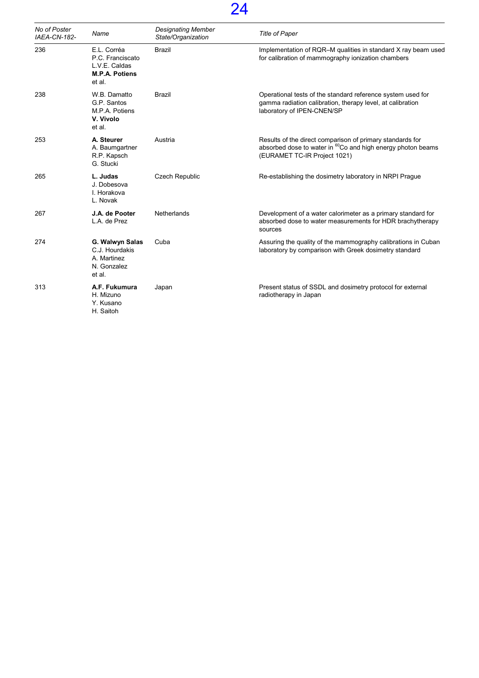| No of Poster<br>IAEA-CN-182- | Name                                                                                | <b>Designating Member</b><br>State/Organization | <b>Title of Paper</b>                                                                                                                                                |
|------------------------------|-------------------------------------------------------------------------------------|-------------------------------------------------|----------------------------------------------------------------------------------------------------------------------------------------------------------------------|
| 236                          | E.L. Corréa<br>P.C. Franciscato<br>L.V.E. Caldas<br><b>M.P.A. Potiens</b><br>et al. | <b>Brazil</b>                                   | Implementation of RQR-M qualities in standard X ray beam used<br>for calibration of mammography ionization chambers                                                  |
| 238                          | W.B. Damatto<br>G.P. Santos<br>M.P.A. Potiens<br>V. Vivolo<br>et al.                | Brazil                                          | Operational tests of the standard reference system used for<br>gamma radiation calibration, therapy level, at calibration<br>laboratory of IPEN-CNEN/SP              |
| 253                          | A. Steurer<br>A. Baumgartner<br>R.P. Kapsch<br>G. Stucki                            | Austria                                         | Results of the direct comparison of primary standards for<br>absorbed dose to water in <sup>60</sup> Co and high energy photon beams<br>(EURAMET TC-IR Project 1021) |
| 265                          | L. Judas<br>J. Dobesova<br>I. Horakova<br>L. Novak                                  | <b>Czech Republic</b>                           | Re-establishing the dosimetry laboratory in NRPI Prague                                                                                                              |
| 267                          | J.A. de Pooter<br>L.A. de Prez                                                      | <b>Netherlands</b>                              | Development of a water calorimeter as a primary standard for<br>absorbed dose to water measurements for HDR brachytherapy<br>sources                                 |
| 274                          | G. Walwyn Salas<br>C.J. Hourdakis<br>A. Martinez<br>N. Gonzalez<br>et al.           | Cuba                                            | Assuring the quality of the mammography calibrations in Cuban<br>laboratory by comparison with Greek dosimetry standard                                              |
| 313                          | A.F. Fukumura<br>H. Mizuno<br>Y. Kusano<br>H. Saitoh                                | Japan                                           | Present status of SSDL and dosimetry protocol for external<br>radiotherapy in Japan                                                                                  |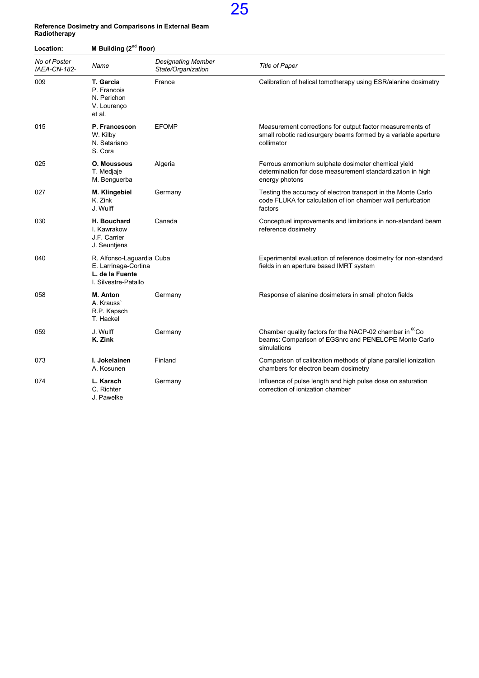

#### Reference Dosimetry and Comparisons in External Beam Radiotherapy

| Location:                    | M Building (2 <sup>nd</sup> floor)                                                           |                                                 |                                                                                                                                            |  |
|------------------------------|----------------------------------------------------------------------------------------------|-------------------------------------------------|--------------------------------------------------------------------------------------------------------------------------------------------|--|
| No of Poster<br>IAEA-CN-182- | Name                                                                                         | <b>Designating Member</b><br>State/Organization | <b>Title of Paper</b>                                                                                                                      |  |
| 009                          | T. Garcia<br>P. Francois<br>N. Perichon<br>V. Lourenço<br>et al.                             | France                                          | Calibration of helical tomotherapy using ESR/alanine dosimetry                                                                             |  |
| 015                          | P. Francescon<br>W. Kilby<br>N. Satariano<br>S. Cora                                         | <b>EFOMP</b>                                    | Measurement corrections for output factor measurements of<br>small robotic radiosurgery beams formed by a variable aperture<br>collimator  |  |
| 025                          | <b>O. Moussous</b><br>T. Medjaje<br>M. Benguerba                                             | Algeria                                         | Ferrous ammonium sulphate dosimeter chemical yield<br>determination for dose measurement standardization in high<br>energy photons         |  |
| 027                          | M. Klingebiel<br>K. Zink<br>J. Wulff                                                         | Germany                                         | Testing the accuracy of electron transport in the Monte Carlo<br>code FLUKA for calculation of ion chamber wall perturbation<br>factors    |  |
| 030                          | <b>H. Bouchard</b><br>I. Kawrakow<br>J.F. Carrier<br>J. Seuntjens                            | Canada                                          | Conceptual improvements and limitations in non-standard beam<br>reference dosimetry                                                        |  |
| 040                          | R. Alfonso-Laguardia Cuba<br>E. Larrinaga-Cortina<br>L. de la Fuente<br>I. Silvestre-Patallo |                                                 | Experimental evaluation of reference dosimetry for non-standard<br>fields in an aperture based IMRT system                                 |  |
| 058                          | M. Anton<br>A. Krauss`<br>R.P. Kapsch<br>T. Hackel                                           | Germany                                         | Response of alanine dosimeters in small photon fields                                                                                      |  |
| 059                          | J. Wulff<br>K. Zink                                                                          | Germany                                         | Chamber quality factors for the NACP-02 chamber in <sup>60</sup> Co<br>beams: Comparison of EGSnrc and PENELOPE Monte Carlo<br>simulations |  |
| 073                          | I. Jokelainen<br>A. Kosunen                                                                  | Finland                                         | Comparison of calibration methods of plane parallel ionization<br>chambers for electron beam dosimetry                                     |  |
| 074                          | L. Karsch<br>C. Richter<br>J. Pawelke                                                        | Germany                                         | Influence of pulse length and high pulse dose on saturation<br>correction of ionization chamber                                            |  |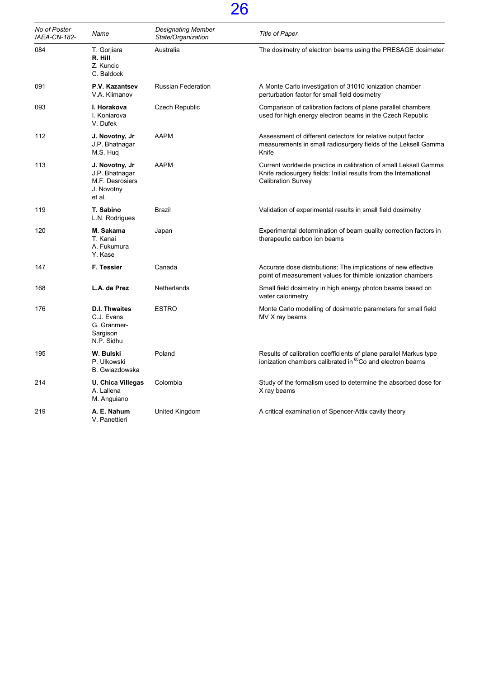| No of Poster<br><b>IAEA-CN-182-</b> | Name                                                                        | <b>Designating Member</b><br>State/Organization | <b>Title of Paper</b>                                                                                                                                              |
|-------------------------------------|-----------------------------------------------------------------------------|-------------------------------------------------|--------------------------------------------------------------------------------------------------------------------------------------------------------------------|
| 084                                 | T. Gorjiara<br>R. Hill<br>Z. Kuncic<br>C. Baldock                           | Australia                                       | The dosimetry of electron beams using the PRESAGE dosimeter                                                                                                        |
| 091                                 | P.V. Kazantsev<br>V.A. Klimanov                                             | <b>Russian Federation</b>                       | A Monte Carlo investigation of 31010 ionization chamber<br>perturbation factor for small field dosimetry                                                           |
| 093                                 | I. Horakova<br>I. Koniarova<br>V. Dufek                                     | <b>Czech Republic</b>                           | Comparison of calibration factors of plane parallel chambers<br>used for high energy electron beams in the Czech Republic                                          |
| 112                                 | J. Novotny, Jr<br>J.P. Bhatnagar<br>M.S. Hug                                | <b>AAPM</b>                                     | Assessment of different detectors for relative output factor<br>measurements in small radiosurgery fields of the Leksell Gamma<br>Knife                            |
| 113                                 | J. Novotny, Jr<br>J.P. Bhatnagar<br>M.F. Desrosiers<br>J. Novotny<br>et al. | <b>AAPM</b>                                     | Current worldwide practice in calibration of small Leksell Gamma<br>Knife radiosurgery fields: Initial results from the International<br><b>Calibration Survey</b> |
| 119                                 | T. Sabino<br>L.N. Rodrigues                                                 | Brazil                                          | Validation of experimental results in small field dosimetry                                                                                                        |
| 120                                 | M. Sakama<br>T. Kanai<br>A. Fukumura<br>Y. Kase                             | Japan                                           | Experimental determination of beam quality correction factors in<br>therapeutic carbon ion beams                                                                   |
| 147                                 | F. Tessier                                                                  | Canada                                          | Accurate dose distributions: The implications of new effective<br>point of measurement values for thimble ionization chambers                                      |
| 168                                 | L.A. de Prez                                                                | Netherlands                                     | Small field dosimetry in high energy photon beams based on<br>water calorimetry                                                                                    |
| 176                                 | <b>D.I. Thwaites</b><br>C.J. Evans<br>G. Granmer-<br>Sargison<br>N.P. Sidhu | <b>ESTRO</b>                                    | Monte Carlo modelling of dosimetric parameters for small field<br>MV X ray beams                                                                                   |
| 195                                 | W. Bulski<br>P. Ulkowski<br>B. Gwiazdowska                                  | Poland                                          | Results of calibration coefficients of plane parallel Markus type<br>ionization chambers calibrated in <sup>60</sup> Co and electron beams                         |
| 214                                 | U. Chica Villegas<br>A. Lallena<br>M. Anguiano                              | Colombia                                        | Study of the formalism used to determine the absorbed dose for<br>X ray beams                                                                                      |
| 219                                 | A. E. Nahum<br>V. Panettieri                                                | United Kingdom                                  | A critical examination of Spencer-Attix cavity theory                                                                                                              |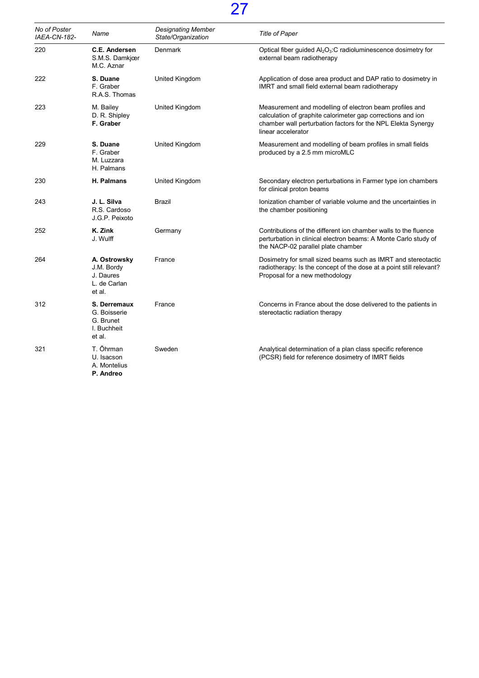| No of Poster<br>IAEA-CN-182- | Name                                                               | <b>Designating Member</b><br>State/Organization | <b>Title of Paper</b>                                                                                                                                                                                        |
|------------------------------|--------------------------------------------------------------------|-------------------------------------------------|--------------------------------------------------------------------------------------------------------------------------------------------------------------------------------------------------------------|
| 220                          | C.E. Andersen<br>S.M.S. Damkjær<br>M.C. Aznar                      | <b>Denmark</b>                                  | Optical fiber guided Al <sub>2</sub> O <sub>3</sub> :C radioluminescence dosimetry for<br>external beam radiotherapy                                                                                         |
| 222                          | S. Duane<br>F. Graber<br>R.A.S. Thomas                             | United Kingdom                                  | Application of dose area product and DAP ratio to dosimetry in<br>IMRT and small field external beam radiotherapy                                                                                            |
| 223                          | M. Bailey<br>D. R. Shipley<br>F. Graber                            | United Kingdom                                  | Measurement and modelling of electron beam profiles and<br>calculation of graphite calorimeter gap corrections and ion<br>chamber wall perturbation factors for the NPL Elekta Synergy<br>linear accelerator |
| 229                          | S. Duane<br>F. Graber<br>M. Luzzara<br>H. Palmans                  | <b>United Kingdom</b>                           | Measurement and modelling of beam profiles in small fields<br>produced by a 2.5 mm microMLC                                                                                                                  |
| 230                          | <b>H. Palmans</b>                                                  | United Kingdom                                  | Secondary electron perturbations in Farmer type ion chambers<br>for clinical proton beams                                                                                                                    |
| 243                          | J. L. Silva<br>R.S. Cardoso<br>J.G.P. Peixoto                      | Brazil                                          | Ionization chamber of variable volume and the uncertainties in<br>the chamber positioning                                                                                                                    |
| 252                          | K. Zink<br>J. Wulff                                                | Germany                                         | Contributions of the different ion chamber walls to the fluence<br>perturbation in clinical electron beams: A Monte Carlo study of<br>the NACP-02 parallel plate chamber                                     |
| 264                          | A. Ostrowsky<br>J.M. Bordy<br>J. Daures<br>L. de Carlan<br>et al.  | France                                          | Dosimetry for small sized beams such as IMRT and stereotactic<br>radiotherapy: Is the concept of the dose at a point still relevant?<br>Proposal for a new methodology                                       |
| 312                          | S. Derremaux<br>G. Boisserie<br>G. Brunet<br>I. Buchheit<br>et al. | France                                          | Concerns in France about the dose delivered to the patients in<br>stereotactic radiation therapy                                                                                                             |
| 321                          | T. Õhrman<br>U. Isacson<br>A. Montelius<br>P. Andreo               | Sweden                                          | Analytical determination of a plan class specific reference<br>(PCSR) field for reference dosimetry of IMRT fields                                                                                           |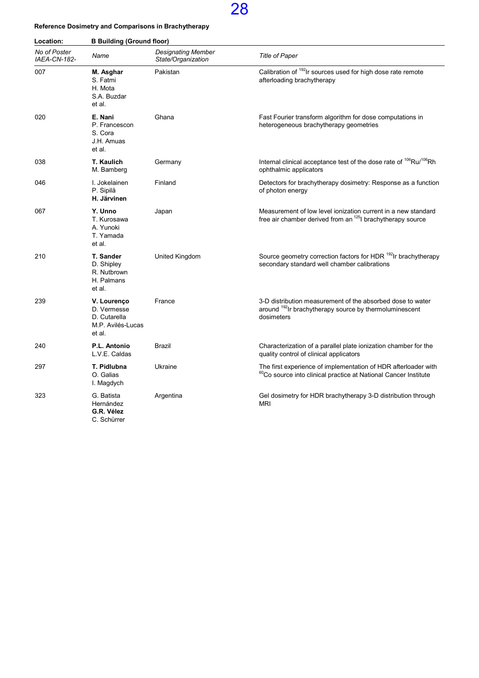### Reference Dosimetry and Comparisons in Brachytherapy

| Location:                    | <b>B Building (Ground floor)</b>                                          |                                                 |                                                                                                                                                |  |
|------------------------------|---------------------------------------------------------------------------|-------------------------------------------------|------------------------------------------------------------------------------------------------------------------------------------------------|--|
| No of Poster<br>IAEA-CN-182- | Name                                                                      | <b>Designating Member</b><br>State/Organization | <b>Title of Paper</b>                                                                                                                          |  |
| 007                          | M. Asghar<br>S. Fatmi<br>H. Mota<br>S.A. Buzdar<br>et al.                 | Pakistan                                        | Calibration of 192 Ir sources used for high dose rate remote<br>afterloading brachytherapy                                                     |  |
| 020                          | E. Nani<br>P. Francescon<br>S. Cora<br>J.H. Amuas<br>et al.               | Ghana                                           | Fast Fourier transform algorithm for dose computations in<br>heterogeneous brachytherapy geometries                                            |  |
| 038                          | T. Kaulich<br>M. Bamberg                                                  | Germany                                         | Internal clinical acceptance test of the dose rate of <sup>106</sup> Ru/ <sup>106</sup> Rh<br>ophthalmic applicators                           |  |
| 046                          | I. Jokelainen<br>P. Sipilä<br>H. Järvinen                                 | Finland                                         | Detectors for brachytherapy dosimetry: Response as a function<br>of photon energy                                                              |  |
| 067                          | Y. Unno<br>T. Kurosawa<br>A. Yunoki<br>T. Yamada<br>et al.                | Japan                                           | Measurement of low level ionization current in a new standard<br>free air chamber derived from an <sup>125</sup> l brachytherapy source        |  |
| 210                          | T. Sander<br>D. Shipley<br>R. Nutbrown<br>H. Palmans<br>et al.            | United Kingdom                                  | Source geometry correction factors for HDR <sup>192</sup> Ir brachytherapy<br>secondary standard well chamber calibrations                     |  |
| 239                          | V. Lourenço<br>D. Vermesse<br>D. Cutarella<br>M.P. Avilés-Lucas<br>et al. | France                                          | 3-D distribution measurement of the absorbed dose to water<br>around <sup>192</sup> Ir brachytherapy source by thermoluminescent<br>dosimeters |  |
| 240                          | P.L. Antonio<br>L.V.E. Caldas                                             | Brazil                                          | Characterization of a parallel plate ionization chamber for the<br>quality control of clinical applicators                                     |  |
| 297                          | T. Pidlubna<br>O. Galias<br>I. Magdych                                    | Ukraine                                         | The first experience of implementation of HDR afterloader with<br><sup>60</sup> Co source into clinical practice at National Cancer Institute  |  |
| 323                          | G. Batista<br>Hernández<br>G.R. Vélez<br>C. Schürrer                      | Argentina                                       | Gel dosimetry for HDR brachytherapy 3-D distribution through<br><b>MRI</b>                                                                     |  |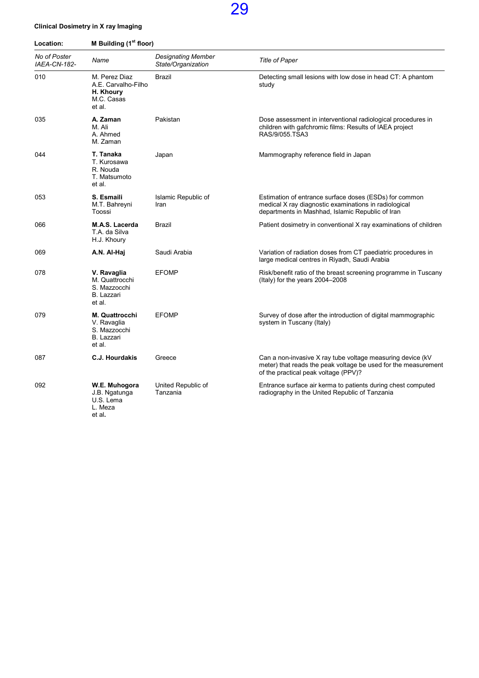### Clinical Dosimetry in X ray Imaging

| Location:                    | M Building (1 <sup>st</sup> floor)                                           |                                                 |                                                                                                                                                                      |  |
|------------------------------|------------------------------------------------------------------------------|-------------------------------------------------|----------------------------------------------------------------------------------------------------------------------------------------------------------------------|--|
| No of Poster<br>IAEA-CN-182- | Name                                                                         | <b>Designating Member</b><br>State/Organization | <b>Title of Paper</b>                                                                                                                                                |  |
| 010                          | M. Perez Diaz<br>A.E. Carvalho-Filho<br>H. Khoury<br>M.C. Casas<br>et al.    | Brazil                                          | Detecting small lesions with low dose in head CT: A phantom<br>study                                                                                                 |  |
| 035                          | A. Zaman<br>M. Ali<br>A. Ahmed<br>M. Zaman                                   | Pakistan                                        | Dose assessment in interventional radiological procedures in<br>children with gafchromic films: Results of IAEA project<br>RAS/9/055.TSA3                            |  |
| 044                          | T. Tanaka<br>T. Kurosawa<br>R. Nouda<br>T. Matsumoto<br>et al.               | Japan                                           | Mammography reference field in Japan                                                                                                                                 |  |
| 053                          | S. Esmaili<br>M.T. Bahreyni<br>Toossi                                        | Islamic Republic of<br>Iran                     | Estimation of entrance surface doses (ESDs) for common<br>medical X ray diagnostic examinations in radiological<br>departments in Mashhad, Islamic Republic of Iran  |  |
| 066                          | M.A.S. Lacerda<br>T.A. da Silva<br>H.J. Khoury                               | Brazil                                          | Patient dosimetry in conventional X ray examinations of children                                                                                                     |  |
| 069                          | A.N. Al-Haj                                                                  | Saudi Arabia                                    | Variation of radiation doses from CT paediatric procedures in<br>large medical centres in Riyadh, Saudi Arabia                                                       |  |
| 078                          | V. Ravaglia<br>M. Quattrocchi<br>S. Mazzocchi<br>B. Lazzari<br>et al.        | <b>EFOMP</b>                                    | Risk/benefit ratio of the breast screening programme in Tuscany<br>(Italy) for the years 2004-2008                                                                   |  |
| 079                          | M. Quattrocchi<br>V. Ravaglia<br>S. Mazzocchi<br><b>B.</b> Lazzari<br>et al. | <b>EFOMP</b>                                    | Survey of dose after the introduction of digital mammographic<br>system in Tuscany (Italy)                                                                           |  |
| 087                          | C.J. Hourdakis                                                               | Greece                                          | Can a non-invasive X ray tube voltage measuring device (kV<br>meter) that reads the peak voltage be used for the measurement<br>of the practical peak voltage (PPV)? |  |
| 092                          | W.E. Muhogora<br>J.B. Ngatunga<br>U.S. Lema<br>L. Meza<br>et al.             | United Republic of<br>Tanzania                  | Entrance surface air kerma to patients during chest computed<br>radiography in the United Republic of Tanzania                                                       |  |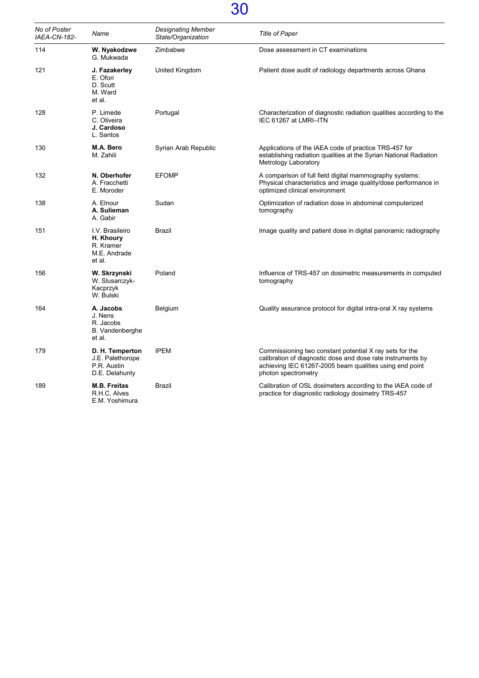| No of Poster<br>IAEA-CN-182- | Name                                                                 | Designating Member<br>State/Organization | Title of Paper                                                                                                                                                                                           |
|------------------------------|----------------------------------------------------------------------|------------------------------------------|----------------------------------------------------------------------------------------------------------------------------------------------------------------------------------------------------------|
| 114                          | W. Nyakodzwe<br>G. Mukwada                                           | Zimbabwe                                 | Dose assessment in CT examinations                                                                                                                                                                       |
| 121                          | J. Fazakerley<br>E. Ofori<br>D. Scutt<br>M. Ward<br>et al.           | United Kingdom                           | Patient dose audit of radiology departments across Ghana                                                                                                                                                 |
| 128                          | P. Limede<br>C. Oliveira<br>J. Cardoso<br>L. Santos                  | Portugal                                 | Characterization of diagnostic radiation qualities according to the<br>IEC 61267 at LMRI-ITN                                                                                                             |
| 130                          | M.A. Bero<br>M. Zahili                                               | Syrian Arab Republic                     | Applications of the IAEA code of practice TRS-457 for<br>establishing radiation qualities at the Syrian National Radiation<br>Metrology Laboratory                                                       |
| 132                          | N. Oberhofer<br>A. Fracchetti<br>E. Moroder                          | <b>EFOMP</b>                             | A comparison of full field digital mammography systems:<br>Physical characteristics and image quality/dose performance in<br>optimized clinical environment                                              |
| 138                          | A. Elnour<br>A. Sulieman<br>A. Gabir                                 | Sudan                                    | Optimization of radiation dose in abdominal computerized<br>tomography                                                                                                                                   |
| 151                          | I.V. Brasileiro<br>H. Khoury<br>R. Kramer<br>M.E. Andrade<br>et al.  | <b>Brazil</b>                            | Image quality and patient dose in digital panoramic radiography                                                                                                                                          |
| 156                          | W. Skrzynski<br>W. Slusarczyk-<br>Kacprzyk<br>W. Bulski              | Poland                                   | Influence of TRS-457 on dosimetric measurements in computed<br>tomography                                                                                                                                |
| 164                          | A. Jacobs<br>J. Nens<br>R. Jacobs<br>B. Vandenberghe<br>et al.       | Belgium                                  | Quality assurance protocol for digital intra-oral X ray systems                                                                                                                                          |
| 179                          | D. H. Temperton<br>J.E. Palethorope<br>P.R. Austin<br>D.E. Delahunty | <b>IPEM</b>                              | Commissioning two constant potential X ray sets for the<br>calibration of diagnostic dose and dose rate instruments by<br>achieving IEC 61267-2005 beam qualities using end point<br>photon spectrometry |
| 189                          | <b>M.B. Freitas</b><br>R.H.C. Alves<br>E.M. Yoshimura                | <b>Brazil</b>                            | Calibration of OSL dosimeters according to the IAEA code of<br>practice for diagnostic radiology dosimetry TRS-457                                                                                       |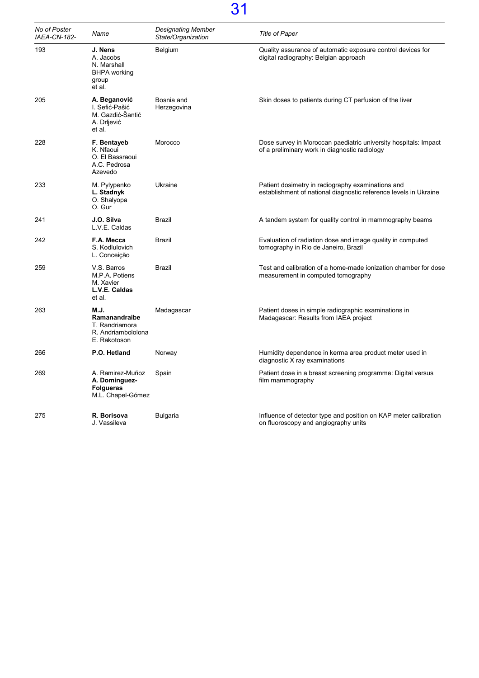| No of Poster<br>IAEA-CN-182- | Name                                                                          | <b>Designating Member</b><br>State/Organization | <b>Title of Paper</b>                                                                                                 |
|------------------------------|-------------------------------------------------------------------------------|-------------------------------------------------|-----------------------------------------------------------------------------------------------------------------------|
| 193                          | J. Nens<br>A. Jacobs<br>N. Marshall<br><b>BHPA</b> working<br>group<br>et al. | Belgium                                         | Quality assurance of automatic exposure control devices for<br>digital radiography: Belgian approach                  |
| 205                          | A. Beganović<br>I. Sefić-Pašić<br>M. Gazdić-Šantić<br>A. Drljević<br>et al.   | Bosnia and<br>Herzegovina                       | Skin doses to patients during CT perfusion of the liver                                                               |
| 228                          | F. Bentayeb<br>K. Nfaoui<br>O. El Bassraoui<br>A.C. Pedrosa<br>Azevedo        | Morocco                                         | Dose survey in Moroccan paediatric university hospitals: Impact<br>of a preliminary work in diagnostic radiology      |
| 233                          | M. Pylypenko<br>L. Stadnyk<br>O. Shalyopa<br>O. Gur                           | Ukraine                                         | Patient dosimetry in radiography examinations and<br>establishment of national diagnostic reference levels in Ukraine |
| 241                          | J.O. Silva<br>L.V.E. Caldas                                                   | Brazil                                          | A tandem system for quality control in mammography beams                                                              |
| 242                          | F.A. Mecca<br>S. Kodlulovich<br>L. Conceição                                  | Brazil                                          | Evaluation of radiation dose and image quality in computed<br>tomography in Rio de Janeiro, Brazil                    |
| 259                          | V.S. Barros<br>M.P.A. Potiens<br>M. Xavier<br>L.V.E. Caldas<br>et al.         | Brazil                                          | Test and calibration of a home-made ionization chamber for dose<br>measurement in computed tomography                 |
| 263                          | M.J.<br>Ramanandraibe<br>T. Randriamora<br>R. Andriambololona<br>E. Rakotoson | Madagascar                                      | Patient doses in simple radiographic examinations in<br>Madagascar: Results from IAEA project                         |
| 266                          | P.O. Hetland                                                                  | Norway                                          | Humidity dependence in kerma area product meter used in<br>diagnostic X ray examinations                              |
| 269                          | A. Ramirez-Muñoz<br>A. Dominguez-<br><b>Folgueras</b><br>M.L. Chapel-Gómez    | Spain                                           | Patient dose in a breast screening programme: Digital versus<br>film mammography                                      |
| 275                          | R. Borisova<br>J. Vassileva                                                   | <b>Bulgaria</b>                                 | Influence of detector type and position on KAP meter calibration<br>on fluoroscopy and angiography units              |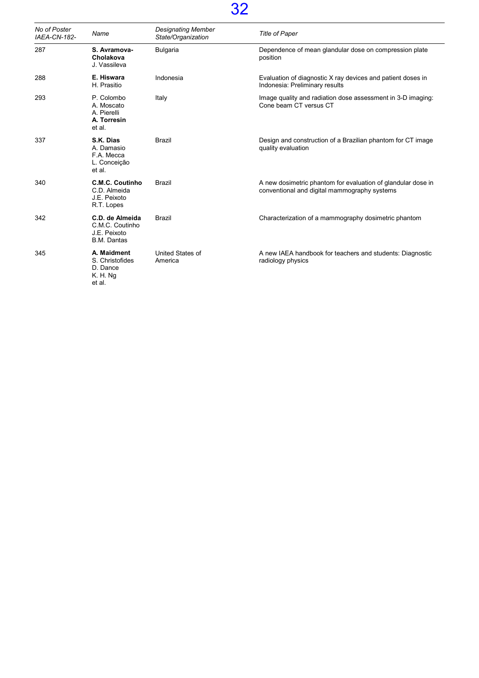| No of Poster<br><b>IAEA-CN-182-</b> | Name                                                                     | <b>Designating Member</b><br>State/Organization | <b>Title of Paper</b>                                                                                        |
|-------------------------------------|--------------------------------------------------------------------------|-------------------------------------------------|--------------------------------------------------------------------------------------------------------------|
| 287                                 | S. Avramova-<br>Cholakova<br>J. Vassileva                                | <b>Bulgaria</b>                                 | Dependence of mean glandular dose on compression plate<br>position                                           |
| 288                                 | E. Hiswara<br>H. Prasitio                                                | Indonesia                                       | Evaluation of diagnostic X ray devices and patient doses in<br>Indonesia: Preliminary results                |
| 293                                 | P. Colombo<br>A. Moscato<br>A. Pierelli<br>A. Torresin<br>et al.         | Italy                                           | Image quality and radiation dose assessment in 3-D imaging:<br>Cone beam CT versus CT                        |
| 337                                 | S.K. Dias<br>A. Damasio<br>F.A. Mecca<br>L. Conceição<br>et al.          | <b>Brazil</b>                                   | Design and construction of a Brazilian phantom for CT image<br>quality evaluation                            |
| 340                                 | <b>C.M.C. Coutinho</b><br>C.D. Almeida<br>J.E. Peixoto<br>R.T. Lopes     | <b>Brazil</b>                                   | A new dosimetric phantom for evaluation of glandular dose in<br>conventional and digital mammography systems |
| 342                                 | C.D. de Almeida<br>C.M.C. Coutinho<br>J.E. Peixoto<br><b>B.M. Dantas</b> | <b>Brazil</b>                                   | Characterization of a mammography dosimetric phantom                                                         |
| 345                                 | A. Maidment<br>S. Christofides<br>D. Dance<br>K. H. Ng<br>et al.         | United States of<br>America                     | A new IAEA handbook for teachers and students: Diagnostic<br>radiology physics                               |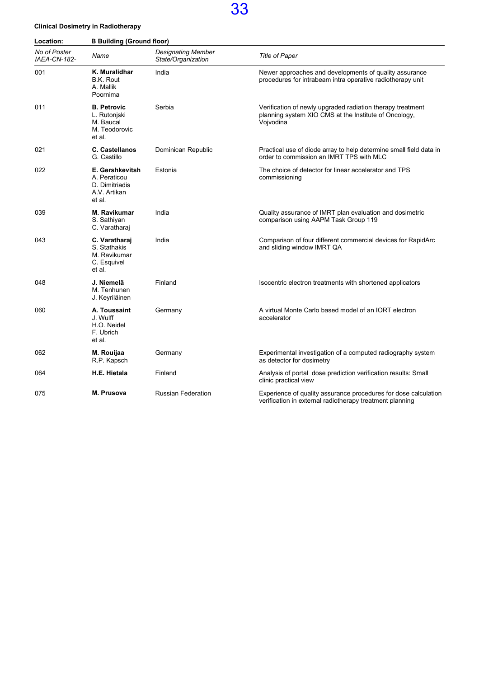#### Clinical Dosimetry in Radiotherapy

Location: **B Building (Ground floor)** 

| No of Poster<br>IAEA-CN-182- | Name                                                                        | <b>Designating Member</b><br>State/Organization | <b>Title of Paper</b>                                                                                                            |
|------------------------------|-----------------------------------------------------------------------------|-------------------------------------------------|----------------------------------------------------------------------------------------------------------------------------------|
| 001                          | K. Muralidhar<br><b>B.K. Rout</b><br>A. Mallik<br>Poornima                  | India                                           | Newer approaches and developments of quality assurance<br>procedures for intrabeam intra operative radiotherapy unit             |
| 011                          | <b>B. Petrovic</b><br>L. Rutonjski<br>M. Baucal<br>M. Teodorovic<br>et al.  | Serbia                                          | Verification of newly upgraded radiation therapy treatment<br>planning system XIO CMS at the Institute of Oncology,<br>Vojvodina |
| 021                          | <b>C. Castellanos</b><br>G. Castillo                                        | Dominican Republic                              | Practical use of diode array to help determine small field data in<br>order to commission an IMRT TPS with MLC                   |
| 022                          | E. Gershkevitsh<br>A. Peraticou<br>D. Dimitriadis<br>A.V. Artikan<br>et al. | Estonia                                         | The choice of detector for linear accelerator and TPS<br>commissioning                                                           |
| 039                          | M. Ravikumar<br>S. Sathiyan<br>C. Varatharai                                | India                                           | Quality assurance of IMRT plan evaluation and dosimetric<br>comparison using AAPM Task Group 119                                 |
| 043                          | C. Varatharai<br>S. Stathakis<br>M. Ravikumar<br>C. Esquivel<br>et al.      | India                                           | Comparison of four different commercial devices for RapidArc<br>and sliding window IMRT QA                                       |
| 048                          | J. Niemelä<br>M. Tenhunen<br>J. Keyriläinen                                 | Finland                                         | Isocentric electron treatments with shortened applicators                                                                        |
| 060                          | A. Toussaint<br>J. Wulff<br>H.O. Neidel<br>F. Ubrich<br>et al.              | Germany                                         | A virtual Monte Carlo based model of an IORT electron<br>accelerator                                                             |
| 062                          | M. Rouijaa<br>R.P. Kapsch                                                   | Germany                                         | Experimental investigation of a computed radiography system<br>as detector for dosimetry                                         |
| 064                          | H.E. Hietala                                                                | Finland                                         | Analysis of portal dose prediction verification results: Small<br>clinic practical view                                          |
| 075                          | M. Prusova                                                                  | <b>Russian Federation</b>                       | Experience of quality assurance procedures for dose calculation<br>verification in external radiotherapy treatment planning      |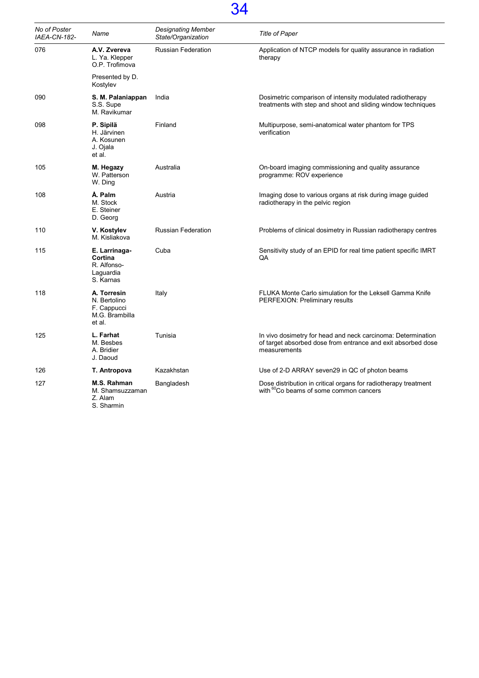| No of Poster<br>IAEA-CN-182- | Name                                                                   | Designating Member<br>State/Organization | <b>Title of Paper</b>                                                                                                                        |
|------------------------------|------------------------------------------------------------------------|------------------------------------------|----------------------------------------------------------------------------------------------------------------------------------------------|
| 076                          | A.V. Zvereva<br>L. Ya. Klepper<br>O.P. Trofimova                       | Russian Federation                       | Application of NTCP models for quality assurance in radiation<br>therapy                                                                     |
|                              | Presented by D.<br>Kostylev                                            |                                          |                                                                                                                                              |
| 090                          | S. M. Palaniappan<br>S.S. Supe<br>M. Ravikumar                         | India                                    | Dosimetric comparison of intensity modulated radiotherapy<br>treatments with step and shoot and sliding window techniques                    |
| 098                          | P. Sipilä<br>H. Järvinen<br>A. Kosunen<br>J. Ojala<br>et al.           | Finland                                  | Multipurpose, semi-anatomical water phantom for TPS<br>verification                                                                          |
| 105                          | M. Hegazy<br>W. Patterson<br>W. Ding                                   | Australia                                | On-board imaging commissioning and quality assurance<br>programme: ROV experience                                                            |
| 108                          | Å. Palm<br>M. Stock<br>E. Steiner<br>D. Georg                          | Austria                                  | Imaging dose to various organs at risk during image guided<br>radiotherapy in the pelvic region                                              |
| 110                          | V. Kostylev<br>M. Kisliakova                                           | <b>Russian Federation</b>                | Problems of clinical dosimetry in Russian radiotherapy centres                                                                               |
| 115                          | E. Larrinaga-<br>Cortina<br>R. Alfonso-<br>Laguardia<br>S. Karnas      | Cuba                                     | Sensitivity study of an EPID for real time patient specific IMRT<br><b>QA</b>                                                                |
| 118                          | A. Torresin<br>N. Bertolino<br>F. Cappucci<br>M.G. Brambilla<br>et al. | Italy                                    | FLUKA Monte Carlo simulation for the Leksell Gamma Knife<br>PERFEXION: Preliminary results                                                   |
| 125                          | L. Farhat<br>M. Besbes<br>A. Bridier<br>J. Daoud                       | Tunisia                                  | In vivo dosimetry for head and neck carcinoma: Determination<br>of target absorbed dose from entrance and exit absorbed dose<br>measurements |
| 126                          | T. Antropova                                                           | Kazakhstan                               | Use of 2-D ARRAY seven 29 in QC of photon beams                                                                                              |
| 127                          | M.S. Rahman<br>M. Shamsuzzaman<br>Z. Alam<br>S. Sharmin                | Bangladesh                               | Dose distribution in critical organs for radiotherapy treatment<br>with <sup>60</sup> Co beams of some common cancers                        |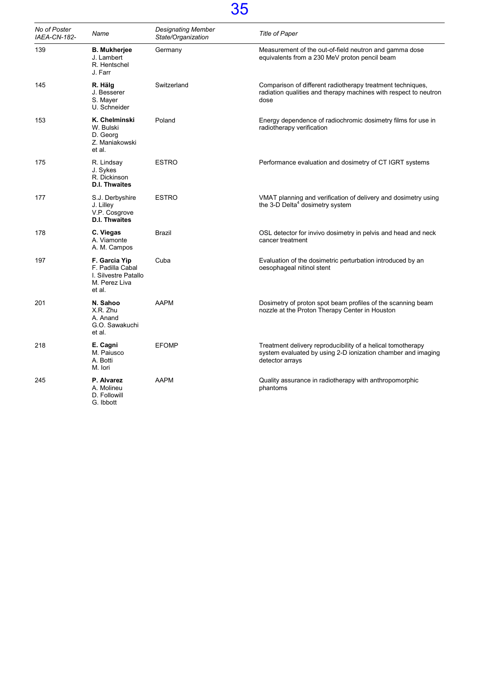| No of Poster<br>IAEA-CN-182- | Name                                                                                 | <b>Designating Member</b><br>State/Organization | <b>Title of Paper</b>                                                                                                                          |
|------------------------------|--------------------------------------------------------------------------------------|-------------------------------------------------|------------------------------------------------------------------------------------------------------------------------------------------------|
| 139                          | <b>B. Mukherjee</b><br>J. Lambert<br>R. Hentschel<br>J. Farr                         | Germany                                         | Measurement of the out-of-field neutron and gamma dose<br>equivalents from a 230 MeV proton pencil beam                                        |
| 145                          | R. Hälg<br>J. Besserer<br>S. Mayer<br>U. Schneider                                   | Switzerland                                     | Comparison of different radiotherapy treatment techniques,<br>radiation qualities and therapy machines with respect to neutron<br>dose         |
| 153                          | K. Chelminski<br>W. Bulski<br>D. Georg<br>Z. Maniakowski<br>et al.                   | Poland                                          | Energy dependence of radiochromic dosimetry films for use in<br>radiotherapy verification                                                      |
| 175                          | R. Lindsay<br>J. Sykes<br>R. Dickinson<br><b>D.I. Thwaites</b>                       | <b>ESTRO</b>                                    | Performance evaluation and dosimetry of CT IGRT systems                                                                                        |
| 177                          | S.J. Derbyshire<br>J. Lilley<br>V.P. Cosgrove<br><b>D.I. Thwaites</b>                | <b>ESTRO</b>                                    | VMAT planning and verification of delivery and dosimetry using<br>the 3-D Delta <sup>4</sup> dosimetry system                                  |
| 178                          | C. Viegas<br>A. Viamonte<br>A. M. Campos                                             | Brazil                                          | OSL detector for invivo dosimetry in pelvis and head and neck<br>cancer treatment                                                              |
| 197                          | F. Garcia Yip<br>F. Padilla Cabal<br>I. Silvestre Patallo<br>M. Perez Liva<br>et al. | Cuba                                            | Evaluation of the dosimetric perturbation introduced by an<br>oesophageal nitinol stent                                                        |
| 201                          | N. Sahoo<br>X.R. Zhu<br>A. Anand<br>G.O. Sawakuchi<br>et al.                         | <b>AAPM</b>                                     | Dosimetry of proton spot beam profiles of the scanning beam<br>nozzle at the Proton Therapy Center in Houston                                  |
| 218                          | E. Cagni<br>M. Paiusco<br>A. Botti<br>M. Iori                                        | <b>EFOMP</b>                                    | Treatment delivery reproducibility of a helical tomotherapy<br>system evaluated by using 2-D ionization chamber and imaging<br>detector arrays |
| 245                          | P. Alvarez<br>A. Molineu<br>D. Followill<br>G. Ibbott                                | <b>AAPM</b>                                     | Quality assurance in radiotherapy with anthropomorphic<br>phantoms                                                                             |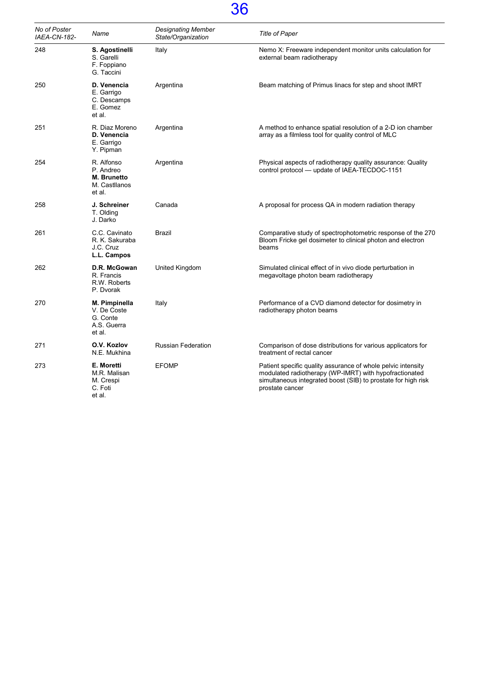| No of Poster<br>IAEA-CN-182- | Name                                                              | <b>Designating Member</b><br>State/Organization | <b>Title of Paper</b>                                                                                                                                                                                      |
|------------------------------|-------------------------------------------------------------------|-------------------------------------------------|------------------------------------------------------------------------------------------------------------------------------------------------------------------------------------------------------------|
| 248                          | S. Agostinelli<br>S. Garelli<br>F. Foppiano<br>G. Taccini         | Italy                                           | Nemo X: Freeware independent monitor units calculation for<br>external beam radiotherapy                                                                                                                   |
| 250                          | D. Venencia<br>E. Garrigo<br>C. Descamps<br>E. Gomez<br>et al.    | Argentina                                       | Beam matching of Primus linacs for step and shoot IMRT                                                                                                                                                     |
| 251                          | R. Diaz Moreno<br>D. Venencia<br>E. Garrigo<br>Y. Pipman          | Argentina                                       | A method to enhance spatial resolution of a 2-D ion chamber<br>array as a filmless tool for quality control of MLC                                                                                         |
| 254                          | R. Alfonso<br>P. Andreo<br>M. Brunetto<br>M. Castllanos<br>et al. | Argentina                                       | Physical aspects of radiotherapy quality assurance: Quality<br>control protocol — update of IAEA-TECDOC-1151                                                                                               |
| 258                          | J. Schreiner<br>T. Olding<br>J. Darko                             | Canada                                          | A proposal for process QA in modern radiation therapy                                                                                                                                                      |
| 261                          | C.C. Cavinato<br>R. K. Sakuraba<br>J.C. Cruz<br>L.L. Campos       | Brazil                                          | Comparative study of spectrophotometric response of the 270<br>Bloom Fricke gel dosimeter to clinical photon and electron<br>beams                                                                         |
| 262                          | D.R. McGowan<br>R. Francis<br>R.W. Roberts<br>P. Dvorak           | United Kingdom                                  | Simulated clinical effect of in vivo diode perturbation in<br>megavoltage photon beam radiotherapy                                                                                                         |
| 270                          | M. Pimpinella<br>V. De Coste<br>G. Conte<br>A.S. Guerra<br>et al. | Italy                                           | Performance of a CVD diamond detector for dosimetry in<br>radiotherapy photon beams                                                                                                                        |
| 271                          | O.V. Kozlov<br>N.E. Mukhina                                       | <b>Russian Federation</b>                       | Comparison of dose distributions for various applicators for<br>treatment of rectal cancer                                                                                                                 |
| 273                          | E. Moretti<br>M.R. Malisan<br>M. Crespi<br>C. Foti<br>et al.      | <b>EFOMP</b>                                    | Patient specific quality assurance of whole pelvic intensity<br>modulated radiotherapy (WP-IMRT) with hypofractionated<br>simultaneous integrated boost (SIB) to prostate for high risk<br>prostate cancer |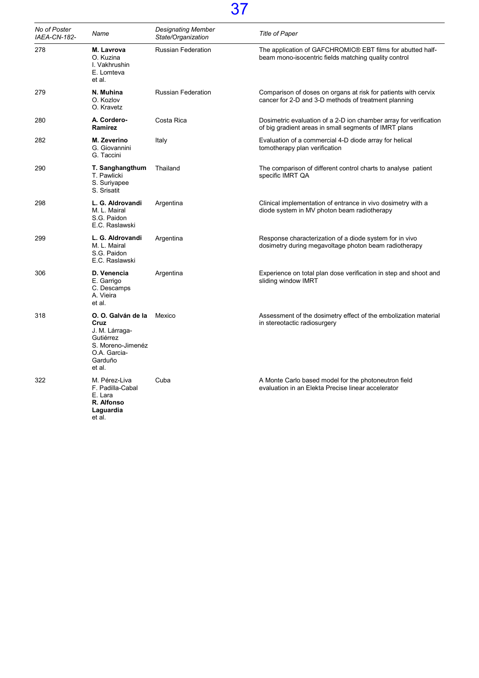| No of Poster<br>IAEA-CN-182- | Name                                                                                                                | <b>Designating Member</b><br>State/Organization | <b>Title of Paper</b>                                                                                                      |
|------------------------------|---------------------------------------------------------------------------------------------------------------------|-------------------------------------------------|----------------------------------------------------------------------------------------------------------------------------|
| 278                          | M. Lavrova<br>O. Kuzina<br>I. Vakhrushin<br>E. Lomteva<br>et al.                                                    | <b>Russian Federation</b>                       | The application of GAFCHROMIC® EBT films for abutted half-<br>beam mono-isocentric fields matching quality control         |
| 279                          | N. Muhina<br>O. Kozlov<br>O. Kravetz                                                                                | <b>Russian Federation</b>                       | Comparison of doses on organs at risk for patients with cervix<br>cancer for 2-D and 3-D methods of treatment planning     |
| 280                          | A. Cordero-<br>Ramirez                                                                                              | Costa Rica                                      | Dosimetric evaluation of a 2-D ion chamber array for verification<br>of big gradient areas in small segments of IMRT plans |
| 282                          | M. Zeverino<br>G. Giovannini<br>G. Taccini                                                                          | Italy                                           | Evaluation of a commercial 4-D diode array for helical<br>tomotherapy plan verification                                    |
| 290                          | T. Sanghangthum<br>T. Pawlicki<br>S. Suriyapee<br>S. Srisatit                                                       | Thailand                                        | The comparison of different control charts to analyse patient<br>specific IMRT QA                                          |
| 298                          | L. G. Aldrovandi<br>M. L. Mairal<br>S.G. Paidon<br>E.C. Raslawski                                                   | Argentina                                       | Clinical implementation of entrance in vivo dosimetry with a<br>diode system in MV photon beam radiotherapy                |
| 299                          | L. G. Aldrovandi<br>M. L. Mairal<br>S.G. Paidon<br>E.C. Raslawski                                                   | Argentina                                       | Response characterization of a diode system for in vivo<br>dosimetry during megavoltage photon beam radiotherapy           |
| 306                          | D. Venencia<br>E. Garrigo<br>C. Descamps<br>A. Vieira<br>et al.                                                     | Argentina                                       | Experience on total plan dose verification in step and shoot and<br>sliding window IMRT                                    |
| 318                          | O. O. Galván de la<br>Cruz<br>J. M. Lárraga-<br>Gutiérrez<br>S. Moreno-Jimenéz<br>O.A. Garcia-<br>Garduño<br>et al. | Mexico                                          | Assessment of the dosimetry effect of the embolization material<br>in stereotactic radiosurgery                            |
| 322                          | M. Pérez-Liva<br>F. Padilla-Cabal<br>E. Lara<br>R. Alfonso<br>Laguardia<br>et al.                                   | Cuba                                            | A Monte Carlo based model for the photoneutron field<br>evaluation in an Elekta Precise linear accelerator                 |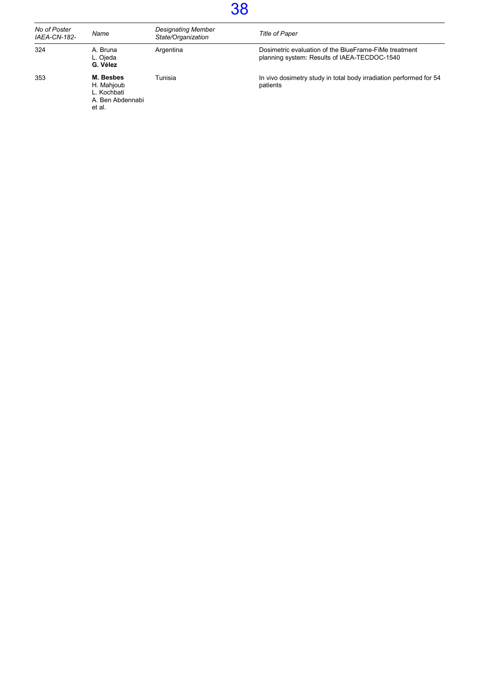| No of Poster<br><b>IAEA-CN-182-</b> | Name                                                                 | <b>Designating Member</b><br>State/Organization | <b>Title of Paper</b>                                                                                 |
|-------------------------------------|----------------------------------------------------------------------|-------------------------------------------------|-------------------------------------------------------------------------------------------------------|
| 324                                 | A. Bruna<br>L. Ojeda<br>G. Vélez                                     | Argentina                                       | Dosimetric evaluation of the BlueFrame-FiMe treatment<br>planning system: Results of IAEA-TECDOC-1540 |
| 353                                 | M. Besbes<br>H. Mahjoub<br>L. Kochbati<br>A. Ben Abdennabi<br>et al. | Tunisia                                         | In vivo dosimetry study in total body irradiation performed for 54<br>patients                        |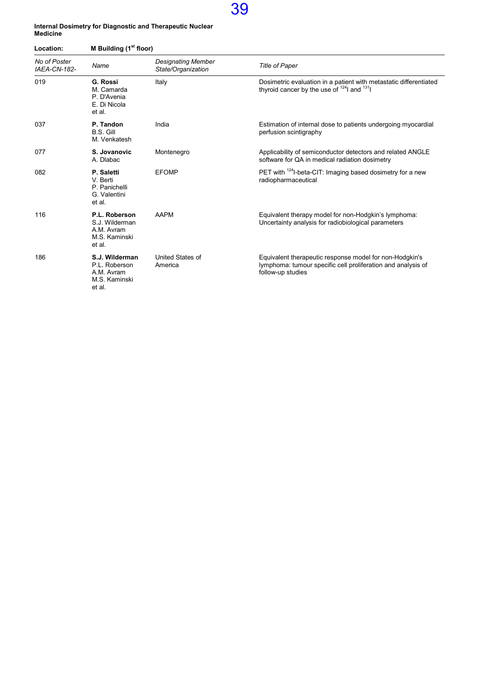#### Internal Dosimetry for Diagnostic and Therapeutic Nuclear Medicine

| Location:<br>No of Poster<br><b>IAEA-CN-182-</b> | M Building (1 <sup>st</sup> floor)                                       |                                                 |                                                                                                                                              |  |
|--------------------------------------------------|--------------------------------------------------------------------------|-------------------------------------------------|----------------------------------------------------------------------------------------------------------------------------------------------|--|
|                                                  | Name                                                                     | <b>Designating Member</b><br>State/Organization | <b>Title of Paper</b>                                                                                                                        |  |
| 019                                              | <b>G. Rossi</b><br>M. Camarda<br>P. D'Avenia<br>E. Di Nicola<br>et al.   | Italy                                           | Dosimetric evaluation in a patient with metastatic differentiated<br>thyroid cancer by the use of $^{124}$ and $^{131}$                      |  |
| 037                                              | P. Tandon<br><b>B.S. Gill</b><br>M. Venkatesh                            | India                                           | Estimation of internal dose to patients undergoing myocardial<br>perfusion scintigraphy                                                      |  |
| 077                                              | S. Jovanovic<br>A. Dlabac                                                | Montenegro                                      | Applicability of semiconductor detectors and related ANGLE<br>software for QA in medical radiation dosimetry                                 |  |
| 082                                              | P. Saletti<br>V. Berti<br>P. Panichelli<br>G. Valentini<br>et al.        | <b>EFOMP</b>                                    | PET with <sup>124</sup> I-beta-CIT: Imaging based dosimetry for a new<br>radiopharmaceutical                                                 |  |
| 116                                              | P.L. Roberson<br>S.J. Wilderman<br>A.M. Avram<br>M.S. Kaminski<br>et al. | <b>AAPM</b>                                     | Equivalent therapy model for non-Hodgkin's lymphoma:<br>Uncertainty analysis for radiobiological parameters                                  |  |
| 186                                              | S.J. Wilderman<br>P.L. Roberson<br>A.M. Avram<br>M.S. Kaminski<br>et al. | United States of<br>America                     | Equivalent therapeutic response model for non-Hodgkin's<br>lymphoma: tumour specific cell proliferation and analysis of<br>follow-up studies |  |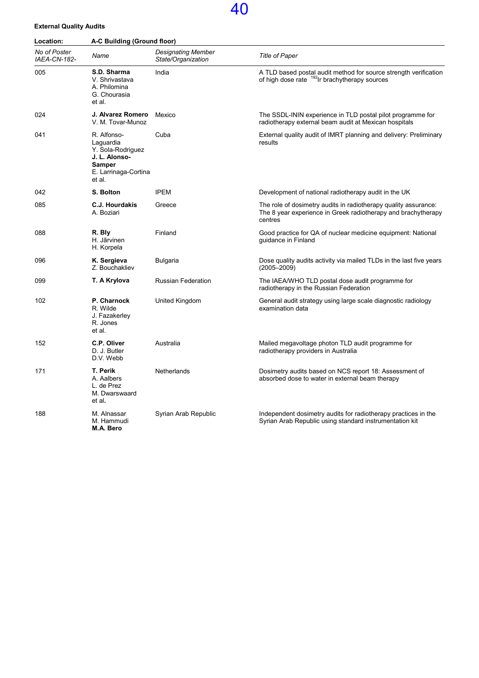#### External Quality Audits

| Location:                    | A-C Building (Ground floor)                                                                                       |                                                 |                                                                                                                                             |  |
|------------------------------|-------------------------------------------------------------------------------------------------------------------|-------------------------------------------------|---------------------------------------------------------------------------------------------------------------------------------------------|--|
| No of Poster<br>IAEA-CN-182- | Name                                                                                                              | <b>Designating Member</b><br>State/Organization | Title of Paper                                                                                                                              |  |
| 005                          | S.D. Sharma<br>V. Shrivastava<br>A. Philomina<br>G. Chourasia<br>et al.                                           | India                                           | A TLD based postal audit method for source strength verification<br>of high dose rate <sup>192</sup> Ir brachytherapy sources               |  |
| 024                          | J. Alvarez Romero<br>V. M. Tovar-Munoz                                                                            | Mexico                                          | The SSDL-ININ experience in TLD postal pilot programme for<br>radiotherapy external beam audit at Mexican hospitals                         |  |
| 041                          | R. Alfonso-<br>Laguardia<br>Y. Sola-Rodriguez<br>J. L. Alonso-<br><b>Samper</b><br>E. Larrinaga-Cortina<br>et al. | Cuba                                            | External quality audit of IMRT planning and delivery: Preliminary<br>results                                                                |  |
| 042                          | S. Bolton                                                                                                         | <b>IPEM</b>                                     | Development of national radiotherapy audit in the UK                                                                                        |  |
| 085                          | <b>C.J. Hourdakis</b><br>A. Boziari                                                                               | Greece                                          | The role of dosimetry audits in radiotherapy quality assurance:<br>The 8 year experience in Greek radiotherapy and brachytherapy<br>centres |  |
| 088                          | R. Bly<br>H. Jãrvinen<br>H. Korpela                                                                               | Finland                                         | Good practice for QA of nuclear medicine equipment: National<br>guidance in Finland                                                         |  |
| 096                          | K. Sergieva<br>Z. Bouchakliev                                                                                     | <b>Bulgaria</b>                                 | Dose quality audits activity via mailed TLDs in the last five years<br>$(2005 - 2009)$                                                      |  |
| 099                          | T. A Krylova                                                                                                      | <b>Russian Federation</b>                       | The IAEA/WHO TLD postal dose audit programme for<br>radiotherapy in the Russian Federation                                                  |  |
| 102                          | P. Charnock<br>R. Wilde<br>J. Fazakerley<br>R. Jones<br>et al.                                                    | United Kingdom                                  | General audit strategy using large scale diagnostic radiology<br>examination data                                                           |  |
| 152                          | C.P. Oliver<br>D. J. Butler<br>D.V. Webb                                                                          | Australia                                       | Mailed megavoltage photon TLD audit programme for<br>radiotherapy providers in Australia                                                    |  |
| 171                          | T. Perik<br>A. Aalbers<br>L. de Prez<br>M. Dwarswaard<br>et al.                                                   | Netherlands                                     | Dosimetry audits based on NCS report 18: Assessment of<br>absorbed dose to water in external beam therapy                                   |  |
| 188                          | M. Alnassar<br>M. Hammudi<br>M.A. Bero                                                                            | Syrian Arab Republic                            | Independent dosimetry audits for radiotherapy practices in the<br>Syrian Arab Republic using standard instrumentation kit                   |  |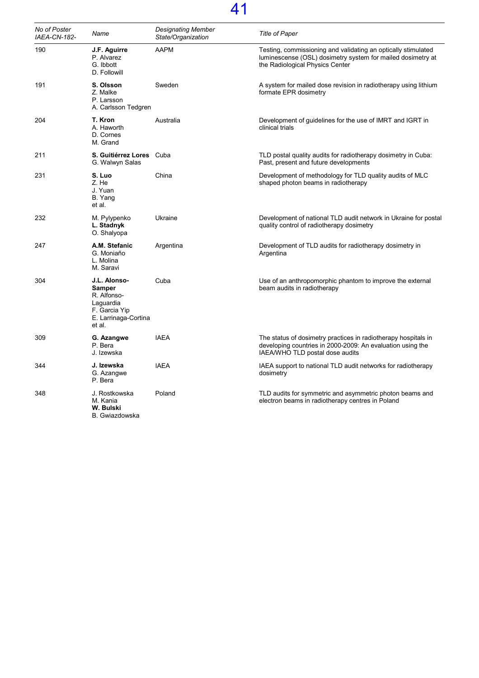| No of Poster<br>IAEA-CN-182- | Name                                                                                                  | <b>Designating Member</b><br>State/Organization | <b>Title of Paper</b>                                                                                                                                           |
|------------------------------|-------------------------------------------------------------------------------------------------------|-------------------------------------------------|-----------------------------------------------------------------------------------------------------------------------------------------------------------------|
| 190                          | J.F. Aguirre<br>P. Alvarez<br>G. Ibbott<br>D. Followill                                               | <b>AAPM</b>                                     | Testing, commissioning and validating an optically stimulated<br>luminescense (OSL) dosimetry system for mailed dosimetry at<br>the Radiological Physics Center |
| 191                          | S. Olsson<br>Z. Malke<br>P. Larsson<br>A. Carlsson Tedgren                                            | Sweden                                          | A system for mailed dose revision in radiotherapy using lithium<br>formate EPR dosimetry                                                                        |
| 204                          | T. Kron<br>A. Haworth<br>D. Cornes<br>M. Grand                                                        | Australia                                       | Development of guidelines for the use of IMRT and IGRT in<br>clinical trials                                                                                    |
| 211                          | S. Guitiérrez Lores Cuba<br>G. Walwyn Salas                                                           |                                                 | TLD postal quality audits for radiotherapy dosimetry in Cuba:<br>Past, present and future developments                                                          |
| 231                          | S. Luo<br>Z. He<br>J. Yuan<br>B. Yang<br>et al.                                                       | China                                           | Development of methodology for TLD quality audits of MLC<br>shaped photon beams in radiotherapy                                                                 |
| 232                          | M. Pylypenko<br>L. Stadnyk<br>O. Shalyopa                                                             | Ukraine                                         | Development of national TLD audit network in Ukraine for postal<br>quality control of radiotherapy dosimetry                                                    |
| 247                          | A.M. Stefanic<br>G. Moniaño<br>L. Molina<br>M. Saravi                                                 | Argentina                                       | Development of TLD audits for radiotherapy dosimetry in<br>Argentina                                                                                            |
| 304                          | J.L. Alonso-<br>Samper<br>R. Alfonso-<br>Laguardia<br>F. Garcia Yip<br>E. Larrinaga-Cortina<br>et al. | Cuba                                            | Use of an anthropomorphic phantom to improve the external<br>beam audits in radiotherapy                                                                        |
| 309                          | G. Azangwe<br>P. Bera<br>J. Izewska                                                                   | <b>IAEA</b>                                     | The status of dosimetry practices in radiotherapy hospitals in<br>developing countries in 2000-2009: An evaluation using the<br>IAEA/WHO TLD postal dose audits |
| 344                          | J. Izewska<br>G. Azangwe<br>P. Bera                                                                   | <b>IAEA</b>                                     | IAEA support to national TLD audit networks for radiotherapy<br>dosimetry                                                                                       |
| 348                          | J. Rostkowska<br>M. Kania<br>W. Bulski<br>B. Gwiazdowska                                              | Poland                                          | TLD audits for symmetric and asymmetric photon beams and<br>electron beams in radiotherapy centres in Poland                                                    |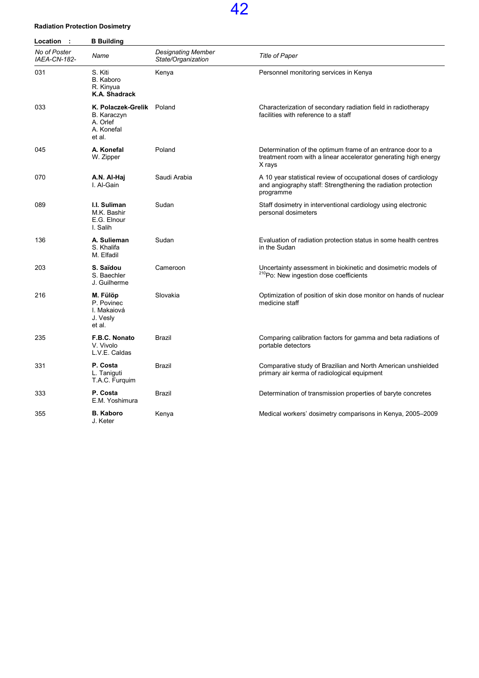#### Radiation Protection Dosimetry

| Location<br>$\cdot$ :        | <b>B</b> Building                                                            |                                                 |                                                                                                                                                |  |
|------------------------------|------------------------------------------------------------------------------|-------------------------------------------------|------------------------------------------------------------------------------------------------------------------------------------------------|--|
| No of Poster<br>IAEA-CN-182- | Name                                                                         | <b>Designating Member</b><br>State/Organization | <b>Title of Paper</b>                                                                                                                          |  |
| 031                          | S. Kiti<br>B. Kaboro<br>R. Kinyua<br>K.A. Shadrack                           | Kenya                                           | Personnel monitoring services in Kenya                                                                                                         |  |
| 033                          | K. Polaczek-Grelik Poland<br>B. Karaczyn<br>A. Orlef<br>A. Konefal<br>et al. |                                                 | Characterization of secondary radiation field in radiotherapy<br>facilities with reference to a staff                                          |  |
| 045                          | A. Konefal<br>W. Zipper                                                      | Poland                                          | Determination of the optimum frame of an entrance door to a<br>treatment room with a linear accelerator generating high energy<br>X rays       |  |
| 070                          | A.N. Al-Haj<br>I. Al-Gain                                                    | Saudi Arabia                                    | A 10 year statistical review of occupational doses of cardiology<br>and angiography staff: Strengthening the radiation protection<br>programme |  |
| 089                          | I.I. Suliman<br>M.K. Bashir<br>E.G. Elnour<br>I. Salih                       | Sudan                                           | Staff dosimetry in interventional cardiology using electronic<br>personal dosimeters                                                           |  |
| 136                          | A. Sulieman<br>S. Khalifa<br>M. Elfadil                                      | Sudan                                           | Evaluation of radiation protection status in some health centres<br>in the Sudan                                                               |  |
| 203                          | S. Saïdou<br>S. Baechler<br>J. Guilherme                                     | Cameroon                                        | Uncertainty assessment in biokinetic and dosimetric models of<br><sup>210</sup> Po: New ingestion dose coefficients                            |  |
| 216                          | M. Fülöp<br>P. Povinec<br>I. Makaiová<br>J. Vesly<br>et al.                  | Slovakia                                        | Optimization of position of skin dose monitor on hands of nuclear<br>medicine staff                                                            |  |
| 235                          | F.B.C. Nonato<br>V. Vivolo<br>L.V.E. Caldas                                  | Brazil                                          | Comparing calibration factors for gamma and beta radiations of<br>portable detectors                                                           |  |
| 331                          | P. Costa<br>L. Taniguti<br>T.A.C. Furquim                                    | Brazil                                          | Comparative study of Brazilian and North American unshielded<br>primary air kerma of radiological equipment                                    |  |
| 333                          | P. Costa<br>E.M. Yoshimura                                                   | Brazil                                          | Determination of transmission properties of baryte concretes                                                                                   |  |
| 355                          | <b>B. Kaboro</b><br>J. Keter                                                 | Kenya                                           | Medical workers' dosimetry comparisons in Kenya, 2005–2009                                                                                     |  |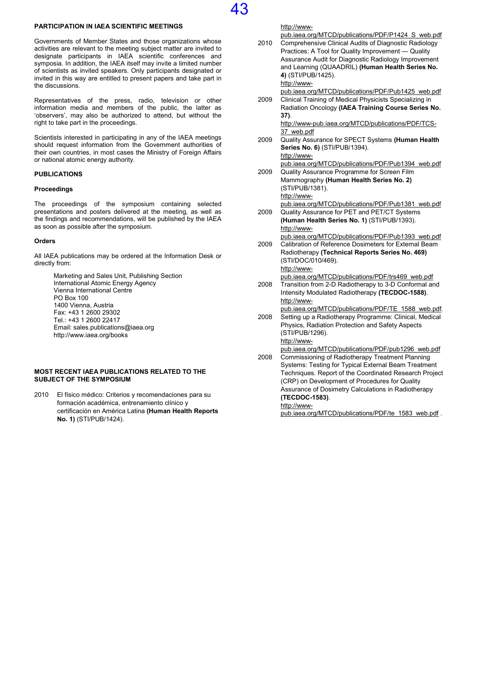#### PARTICIPATION IN IAEA SCIENTIFIC MEETINGS

Governments of Member States and those organizations whose activities are relevant to the meeting subject matter are invited to designate participants in IAEA scientific conferences and symposia. In addition, the IAEA itself may invite a limited number of scientists as invited speakers. Only participants designated or invited in this way are entitled to present papers and take part in the discussions.

43

Representatives of the press, radio, television or other information media and members of the public, the latter as 'observers', may also be authorized to attend, but without the right to take part in the proceedings.

Scientists interested in participating in any of the IAEA meetings should request information from the Government authorities of their own countries, in most cases the Ministry of Foreign Affairs or national atomic energy authority.

#### PUBLICATIONS

#### Proceedings

The proceedings of the symposium containing selected presentations and posters delivered at the meeting, as well as the findings and recommendations, will be published by the IAEA as soon as possible after the symposium.

#### **Orders**

All IAEA publications may be ordered at the Information Desk or directly from:

> Marketing and Sales Unit, Publishing Section International Atomic Energy Agency Vienna International Centre PO Box 100 1400 Vienna, Austria Fax: +43 1 2600 29302 Tel.: +43 1 2600 22417 Email: sales.publications@iaea.org http://www.iaea.org/books

#### MOST RECENT IAEA PUBLICATIONS RELATED TO THE SUBJECT OF THE SYMPOSIUM

2010 El físico médico: Criterios y recomendaciones para su formación académica, entrenamiento clínico y certificación en América Latina (Human Health Reports No. 1) (STI/PUB/1424).

|      | http://www-                                                                                              |
|------|----------------------------------------------------------------------------------------------------------|
|      | pub.iaea.org/MTCD/publications/PDF/P1424 S web.pdf                                                       |
| 2010 | Comprehensive Clinical Audits of Diagnostic Radiology                                                    |
|      | Practices: A Tool for Quality Improvement - Quality                                                      |
|      | Assurance Audit for Diagnostic Radiology Improvement                                                     |
|      | and Learning (QUAADRIL) (Human Health Series No.                                                         |
|      | 4) (STI/PUB/1425).                                                                                       |
|      | http://www-                                                                                              |
|      | pub.iaea.org/MTCD/publications/PDF/Pub1425_web.pdf                                                       |
| 2009 | Clinical Training of Medical Physicists Specializing in                                                  |
|      | Radiation Oncology (IAEA Training Course Series No.                                                      |
|      | 37).                                                                                                     |
|      | http://www-pub.iaea.org/MTCD/publications/PDF/TCS-                                                       |
|      | 37 web.pdf                                                                                               |
| 2009 | Quality Assurance for SPECT Systems (Human Health                                                        |
|      | Series No. 6) (STI/PUB/1394).                                                                            |
|      | http://www-                                                                                              |
|      | pub.iaea.org/MTCD/publications/PDF/Pub1394 web.pdf                                                       |
| 2009 | Quality Assurance Programme for Screen Film                                                              |
|      | Mammography (Human Health Series No. 2)                                                                  |
|      | (STI/PUB/1381).                                                                                          |
|      | http://www-                                                                                              |
|      | pub.iaea.org/MTCD/publications/PDF/Pub1381 web.pdf                                                       |
| 2009 | Quality Assurance for PET and PET/CT Systems                                                             |
|      | (Human Health Series No. 1) (STI/PUB/1393).                                                              |
|      | http://www-                                                                                              |
|      | pub.iaea.org/MTCD/publications/PDF/Pub1393 web.pdf                                                       |
| 2009 | Calibration of Reference Dosimeters for External Beam                                                    |
|      | Radiotherapy (Technical Reports Series No. 469)                                                          |
|      | (STI/DOC/010/469).                                                                                       |
|      | http://www-                                                                                              |
|      | pub.iaea.org/MTCD/publications/PDF/trs469 web.pdf                                                        |
| 2008 | Transition from 2-D Radiotherapy to 3-D Conformal and                                                    |
|      | Intensity Modulated Radiotherapy (TECDOC-1588).                                                          |
|      | http://www-                                                                                              |
|      | pub.iaea.org/MTCD/publications/PDF/TE 1588 web.pdf.                                                      |
| 2008 | Setting up a Radiotherapy Programme: Clinical, Medical                                                   |
|      | Physics, Radiation Protection and Safety Aspects                                                         |
|      | (STI/PUB/1296).                                                                                          |
|      | http://www-                                                                                              |
|      | pub.iaea.org/MTCD/publications/PDF/pub1296 web.pdf                                                       |
| 2008 | Commissioning of Radiotherapy Treatment Planning<br>Systems: Testing for Typical External Beam Treatment |
|      |                                                                                                          |
|      | Techniques. Report of the Coordinated Research Project                                                   |
|      | (CRP) on Development of Procedures for Quality                                                           |
|      | Assurance of Dosimetry Calculations in Radiotherapy<br>(TECDOC-1583).                                    |
|      | http://www-                                                                                              |
|      |                                                                                                          |

pub.iaea.org/MTCD/publications/PDF/te\_1583\_web.pdf .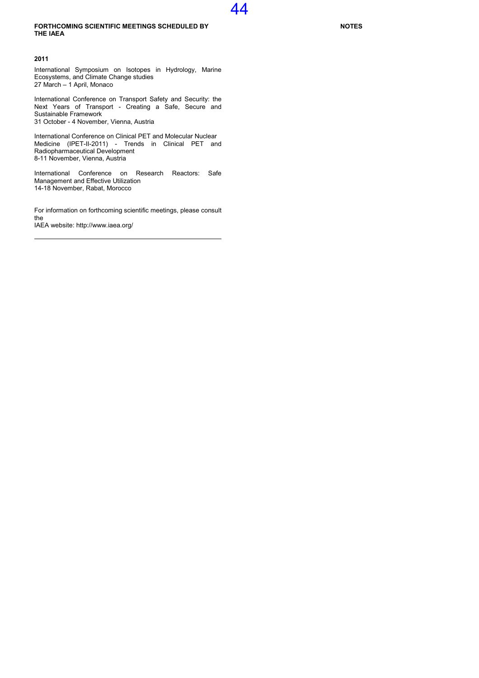#### FORTHCOMING SCIENTIFIC MEETINGS SCHEDULED BY THE IAEA

#### 2011

International Symposium on Isotopes in Hydrology, Marine Ecosystems, and Climate Change studies 27 March – 1 April, Monaco

International Conference on Transport Safety and Security: the Next Years of Transport - Creating a Safe, Secure and Sustainable Framework 31 October - 4 November, Vienna, Austria

International Conference on Clinical PET and Molecular Nuclear Medicine (IPET-II-2011) - Trends in Clinical PET and Radiopharmaceutical Development 8-11 November, Vienna, Austria

International Conference on Research Reactors: Safe Management and Effective Utilization 14-18 November, Rabat, Morocco

For information on forthcoming scientific meetings, please consult the IAEA website: http://www.iaea.org/